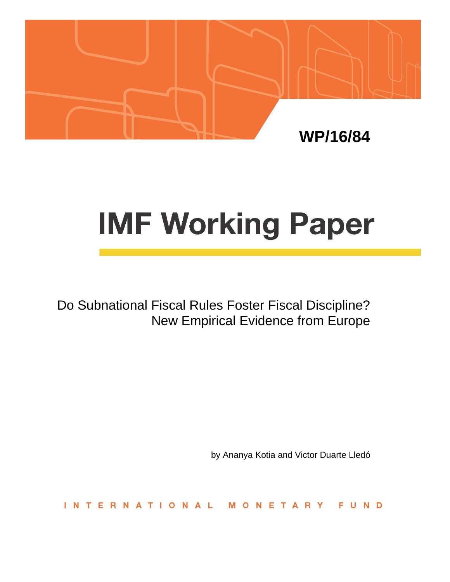

# **IMF Working Paper**

Do Subnational Fiscal Rules Foster Fiscal Discipline? New Empirical Evidence from Europe

by Ananya Kotia and Victor Duarte Lledó

**INTERNATIONAL** NETARY FUND M  $\Omega$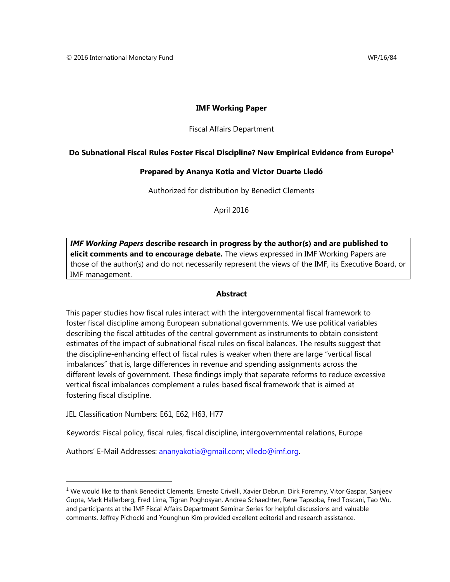#### **IMF Working Paper**

#### Fiscal Affairs Department

#### **Do Subnational Fiscal Rules Foster Fiscal Discipline? New Empirical Evidence from Europe<sup>1</sup>**

#### **Prepared by Ananya Kotia and Victor Duarte Lledó**

Authorized for distribution by Benedict Clements

April 2016

*IMF Working Papers* **describe research in progress by the author(s) and are published to elicit comments and to encourage debate.** The views expressed in IMF Working Papers are those of the author(s) and do not necessarily represent the views of the IMF, its Executive Board, or IMF management.

#### **Abstract**

This paper studies how fiscal rules interact with the intergovernmental fiscal framework to foster fiscal discipline among European subnational governments. We use political variables describing the fiscal attitudes of the central government as instruments to obtain consistent estimates of the impact of subnational fiscal rules on fiscal balances. The results suggest that the discipline-enhancing effect of fiscal rules is weaker when there are large "vertical fiscal imbalances" that is, large differences in revenue and spending assignments across the different levels of government. These findings imply that separate reforms to reduce excessive vertical fiscal imbalances complement a rules-based fiscal framework that is aimed at fostering fiscal discipline.

JEL Classification Numbers: E61, E62, H63, H77

 $\overline{a}$ 

Keywords: Fiscal policy, fiscal rules, fiscal discipline, intergovernmental relations, Europe

Authors' E-Mail Addresses: [ananyakotia@gmail.com;](mailto:ananyakotia@gmail.com) [vlledo@imf.org.](mailto:vlledo@imf.org) 

 $1$  We would like to thank Benedict Clements, Ernesto Crivelli, Xavier Debrun, Dirk Foremny, Vitor Gaspar, Sanjeev Gupta, Mark Hallerberg, Fred Lima, Tigran Poghosyan, Andrea Schaechter, Rene Tapsoba, Fred Toscani, Tao Wu, and participants at the IMF Fiscal Affairs Department Seminar Series for helpful discussions and valuable comments. Jeffrey Pichocki and Younghun Kim provided excellent editorial and research assistance.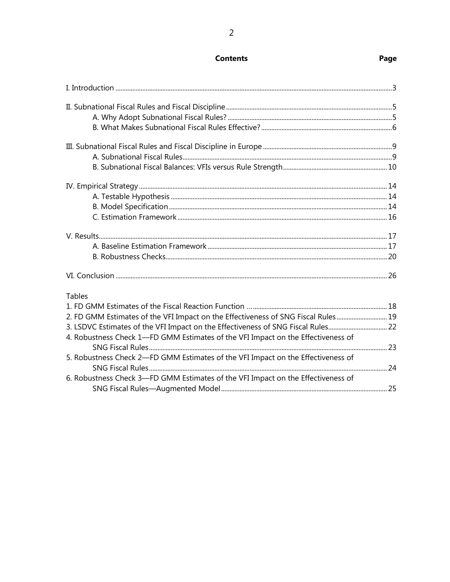# **Contents**

| <b>Tables</b>                                                                     |  |
|-----------------------------------------------------------------------------------|--|
|                                                                                   |  |
| 2. FD GMM Estimates of the VFI Impact on the Effectiveness of SNG Fiscal Rules 19 |  |
| 3. LSDVC Estimates of the VFI Impact on the Effectiveness of SNG Fiscal Rules 22  |  |
| 4. Robustness Check 1-FD GMM Estimates of the VFI Impact on the Effectiveness of  |  |
|                                                                                   |  |
| 5. Robustness Check 2-FD GMM Estimates of the VFI Impact on the Effectiveness of  |  |
|                                                                                   |  |
| 6. Robustness Check 3-FD GMM Estimates of the VFI Impact on the Effectiveness of  |  |

# Page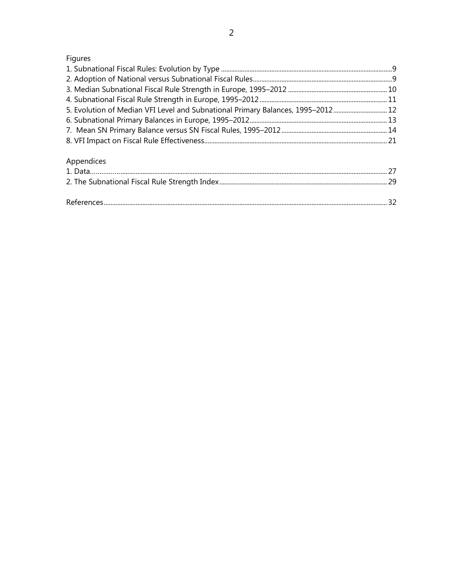# Figures

| 5. Evolution of Median VFI Level and Subnational Primary Balances, 1995-2012 12 |  |
|---------------------------------------------------------------------------------|--|
|                                                                                 |  |
|                                                                                 |  |
|                                                                                 |  |
| Appendices                                                                      |  |
|                                                                                 |  |
|                                                                                 |  |
|                                                                                 |  |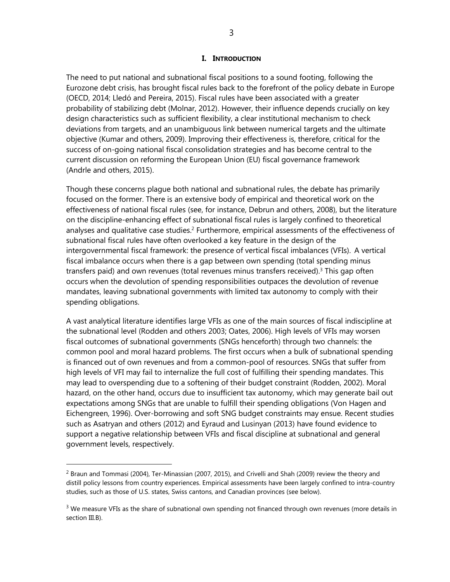#### **I. INTRODUCTION**

The need to put national and subnational fiscal positions to a sound footing, following the Eurozone debt crisis, has brought fiscal rules back to the forefront of the policy debate in Europe (OECD, 2014; Lledó and Pereira, 2015). Fiscal rules have been associated with a greater probability of stabilizing debt (Molnar, 2012). However, their influence depends crucially on key design characteristics such as sufficient flexibility, a clear institutional mechanism to check deviations from targets, and an unambiguous link between numerical targets and the ultimate objective (Kumar and others, 2009). Improving their effectiveness is, therefore, critical for the success of on-going national fiscal consolidation strategies and has become central to the current discussion on reforming the European Union (EU) fiscal governance framework (Andrle and others, 2015).

Though these concerns plague both national and subnational rules, the debate has primarily focused on the former. There is an extensive body of empirical and theoretical work on the effectiveness of national fiscal rules (see, for instance, Debrun and others, 2008), but the literature on the discipline-enhancing effect of subnational fiscal rules is largely confined to theoretical analyses and qualitative case studies.<sup>2</sup> Furthermore, empirical assessments of the effectiveness of subnational fiscal rules have often overlooked a key feature in the design of the intergovernmental fiscal framework: the presence of vertical fiscal imbalances (VFIs). A vertical fiscal imbalance occurs when there is a gap between own spending (total spending minus transfers paid) and own revenues (total revenues minus transfers received).<sup>3</sup> This gap often occurs when the devolution of spending responsibilities outpaces the devolution of revenue mandates, leaving subnational governments with limited tax autonomy to comply with their spending obligations.

A vast analytical literature identifies large VFIs as one of the main sources of fiscal indiscipline at the subnational level (Rodden and others 2003; Oates, 2006). High levels of VFIs may worsen fiscal outcomes of subnational governments (SNGs henceforth) through two channels: the common pool and moral hazard problems. The first occurs when a bulk of subnational spending is financed out of own revenues and from a common-pool of resources. SNGs that suffer from high levels of VFI may fail to internalize the full cost of fulfilling their spending mandates. This may lead to overspending due to a softening of their budget constraint (Rodden, 2002). Moral hazard, on the other hand, occurs due to insufficient tax autonomy, which may generate bail out expectations among SNGs that are unable to fulfill their spending obligations (Von Hagen and Eichengreen, 1996). Over-borrowing and soft SNG budget constraints may ensue. Recent studies such as Asatryan and others (2012) and Eyraud and Lusinyan (2013) have found evidence to support a negative relationship between VFIs and fiscal discipline at subnational and general government levels, respectively.

<sup>&</sup>lt;sup>2</sup> Braun and Tommasi (2004), Ter-Minassian (2007, 2015), and Crivelli and Shah (2009) review the theory and distill policy lessons from country experiences. Empirical assessments have been largely confined to intra-country studies, such as those of U.S. states, Swiss cantons, and Canadian provinces (see below).

 $3$  We measure VFIs as the share of subnational own spending not financed through own revenues (more details in section III.B).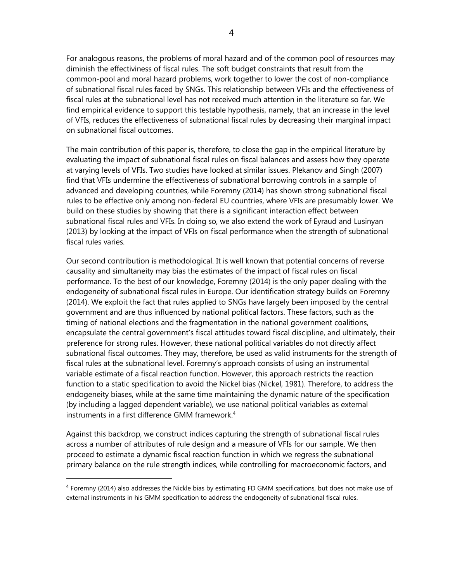For analogous reasons, the problems of moral hazard and of the common pool of resources may diminish the effectiviness of fiscal rules. The soft budget constraints that result from the common-pool and moral hazard problems, work together to lower the cost of non-compliance of subnational fiscal rules faced by SNGs. This relationship between VFIs and the effectiveness of fiscal rules at the subnational level has not received much attention in the literature so far. We find empirical evidence to support this testable hypothesis, namely, that an increase in the level of VFIs, reduces the effectiveness of subnational fiscal rules by decreasing their marginal impact on subnational fiscal outcomes.

The main contribution of this paper is, therefore, to close the gap in the empirical literature by evaluating the impact of subnational fiscal rules on fiscal balances and assess how they operate at varying levels of VFIs. Two studies have looked at similar issues. Plekanov and Singh (2007) find that VFIs undermine the effectiveness of subnational borrowing controls in a sample of advanced and developing countries, while Foremny (2014) has shown strong subnational fiscal rules to be effective only among non-federal EU countries, where VFIs are presumably lower. We build on these studies by showing that there is a significant interaction effect between subnational fiscal rules and VFIs. In doing so, we also extend the work of Eyraud and Lusinyan (2013) by looking at the impact of VFIs on fiscal performance when the strength of subnational fiscal rules varies.

Our second contribution is methodological. It is well known that potential concerns of reverse causality and simultaneity may bias the estimates of the impact of fiscal rules on fiscal performance. To the best of our knowledge, Foremny (2014) is the only paper dealing with the endogeneity of subnational fiscal rules in Europe. Our identification strategy builds on Foremny (2014). We exploit the fact that rules applied to SNGs have largely been imposed by the central government and are thus influenced by national political factors. These factors, such as the timing of national elections and the fragmentation in the national government coalitions, encapsulate the central government's fiscal attitudes toward fiscal discipline, and ultimately, their preference for strong rules. However, these national political variables do not directly affect subnational fiscal outcomes. They may, therefore, be used as valid instruments for the strength of fiscal rules at the subnational level. Foremny's approach consists of using an instrumental variable estimate of a fiscal reaction function. However, this approach restricts the reaction function to a static specification to avoid the Nickel bias (Nickel, 1981). Therefore, to address the endogeneity biases, while at the same time maintaining the dynamic nature of the specification (by including a lagged dependent variable), we use national political variables as external instruments in a first difference GMM framework.<sup>4</sup>

Against this backdrop, we construct indices capturing the strength of subnational fiscal rules across a number of attributes of rule design and a measure of VFIs for our sample. We then proceed to estimate a dynamic fiscal reaction function in which we regress the subnational primary balance on the rule strength indices, while controlling for macroeconomic factors, and

<sup>4</sup> Foremny (2014) also addresses the Nickle bias by estimating FD GMM specifications, but does not make use of external instruments in his GMM specification to address the endogeneity of subnational fiscal rules.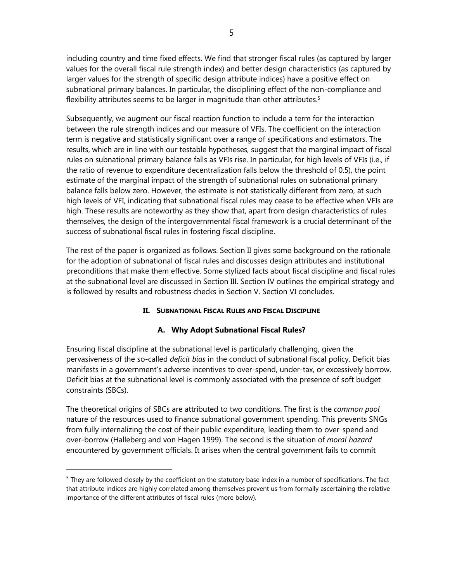including country and time fixed effects. We find that stronger fiscal rules (as captured by larger values for the overall fiscal rule strength index) and better design characteristics (as captured by larger values for the strength of specific design attribute indices) have a positive effect on subnational primary balances. In particular, the disciplining effect of the non-compliance and flexibility attributes seems to be larger in magnitude than other attributes.<sup>5</sup>

Subsequently, we augment our fiscal reaction function to include a term for the interaction between the rule strength indices and our measure of VFIs. The coefficient on the interaction term is negative and statistically significant over a range of specifications and estimators. The results, which are in line with our testable hypotheses, suggest that the marginal impact of fiscal rules on subnational primary balance falls as VFIs rise. In particular, for high levels of VFIs (i.e., if the ratio of revenue to expenditure decentralization falls below the threshold of 0.5), the point estimate of the marginal impact of the strength of subnational rules on subnational primary balance falls below zero. However, the estimate is not statistically different from zero, at such high levels of VFI, indicating that subnational fiscal rules may cease to be effective when VFIs are high. These results are noteworthy as they show that, apart from design characteristics of rules themselves, the design of the intergovernmental fiscal framework is a crucial determinant of the success of subnational fiscal rules in fostering fiscal discipline.

The rest of the paper is organized as follows. Section II gives some background on the rationale for the adoption of subnational of fiscal rules and discusses design attributes and institutional preconditions that make them effective. Some stylized facts about fiscal discipline and fiscal rules at the subnational level are discussed in Section III. Section IV outlines the empirical strategy and is followed by results and robustness checks in Section V. Section VI concludes.

# **II. SUBNATIONAL FISCAL RULES AND FISCAL DISCIPLINE**

# **A. Why Adopt Subnational Fiscal Rules?**

Ensuring fiscal discipline at the subnational level is particularly challenging, given the pervasiveness of the so-called *deficit bias* in the conduct of subnational fiscal policy. Deficit bias manifests in a government's adverse incentives to over-spend, under-tax, or excessively borrow. Deficit bias at the subnational level is commonly associated with the presence of soft budget constraints (SBCs).

The theoretical origins of SBCs are attributed to two conditions. The first is the *common pool* nature of the resources used to finance subnational government spending. This prevents SNGs from fully internalizing the cost of their public expenditure, leading them to over-spend and over-borrow (Halleberg and von Hagen 1999). The second is the situation of *moral hazard* encountered by government officials. It arises when the central government fails to commit

 $5$  They are followed closely by the coefficient on the statutory base index in a number of specifications. The fact that attribute indices are highly correlated among themselves prevent us from formally ascertaining the relative importance of the different attributes of fiscal rules (more below).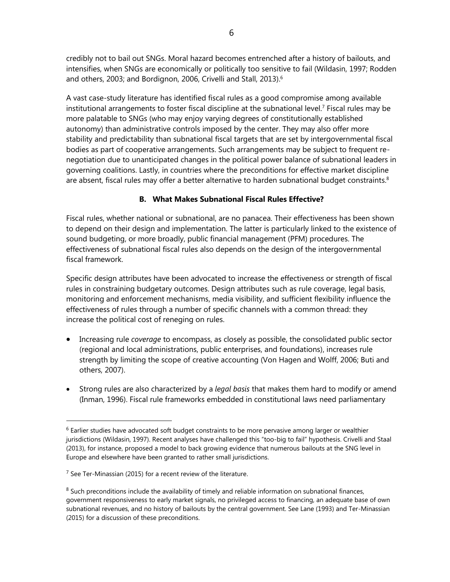credibly not to bail out SNGs. Moral hazard becomes entrenched after a history of bailouts, and intensifies, when SNGs are economically or politically too sensitive to fail (Wildasin, 1997; Rodden and others, 2003; and Bordignon, 2006, Crivelli and Stall, 2013).<sup>6</sup>

A vast case-study literature has identified fiscal rules as a good compromise among available institutional arrangements to foster fiscal discipline at the subnational level.<sup>7</sup> Fiscal rules may be more palatable to SNGs (who may enjoy varying degrees of constitutionally established autonomy) than administrative controls imposed by the center. They may also offer more stability and predictability than subnational fiscal targets that are set by intergovernmental fiscal bodies as part of cooperative arrangements. Such arrangements may be subject to frequent renegotiation due to unanticipated changes in the political power balance of subnational leaders in governing coalitions. Lastly, in countries where the preconditions for effective market discipline are absent, fiscal rules may offer a better alternative to harden subnational budget constraints.<sup>8</sup>

# **B. What Makes Subnational Fiscal Rules Effective?**

Fiscal rules, whether national or subnational, are no panacea. Their effectiveness has been shown to depend on their design and implementation. The latter is particularly linked to the existence of sound budgeting, or more broadly, public financial management (PFM) procedures. The effectiveness of subnational fiscal rules also depends on the design of the intergovernmental fiscal framework.

Specific design attributes have been advocated to increase the effectiveness or strength of fiscal rules in constraining budgetary outcomes. Design attributes such as rule coverage, legal basis, monitoring and enforcement mechanisms, media visibility, and sufficient flexibility influence the effectiveness of rules through a number of specific channels with a common thread: they increase the political cost of reneging on rules.

- Increasing rule *coverage* to encompass, as closely as possible, the consolidated public sector (regional and local administrations, public enterprises, and foundations), increases rule strength by limiting the scope of creative accounting (Von Hagen and Wolff, 2006; Buti and others, 2007).
- Strong rules are also characterized by a *legal basis* that makes them hard to modify or amend (Inman, 1996). Fiscal rule frameworks embedded in constitutional laws need parliamentary

<sup>&</sup>lt;sup>6</sup> Earlier studies have advocated soft budget constraints to be more pervasive among larger or wealthier jurisdictions (Wildasin, 1997). Recent analyses have challenged this "too-big to fail" hypothesis. Crivelli and Staal (2013), for instance, proposed a model to back growing evidence that numerous bailouts at the SNG level in Europe and elsewhere have been granted to rather small jurisdictions.

 $7$  See Ter-Minassian (2015) for a recent review of the literature.

 $8$  Such preconditions include the availability of timely and reliable information on subnational finances, government responsiveness to early market signals, no privileged access to financing, an adequate base of own subnational revenues, and no history of bailouts by the central government. See Lane (1993) and Ter-Minassian (2015) for a discussion of these preconditions.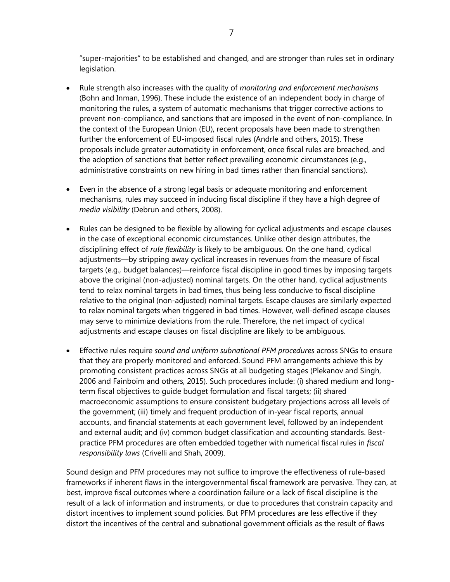"super-majorities" to be established and changed, and are stronger than rules set in ordinary legislation.

- Rule strength also increases with the quality of *monitoring and enforcement mechanisms* (Bohn and Inman, 1996). These include the existence of an independent body in charge of monitoring the rules, a system of automatic mechanisms that trigger corrective actions to prevent non-compliance, and sanctions that are imposed in the event of non-compliance. In the context of the European Union (EU), recent proposals have been made to strengthen further the enforcement of EU-imposed fiscal rules (Andrle and others, 2015). These proposals include greater automaticity in enforcement, once fiscal rules are breached, and the adoption of sanctions that better reflect prevailing economic circumstances (e.g., administrative constraints on new hiring in bad times rather than financial sanctions).
- Even in the absence of a strong legal basis or adequate monitoring and enforcement mechanisms, rules may succeed in inducing fiscal discipline if they have a high degree of *media visibility* (Debrun and others, 2008).
- Rules can be designed to be flexible by allowing for cyclical adjustments and escape clauses in the case of exceptional economic circumstances. Unlike other design attributes, the disciplining effect of *rule flexibility* is likely to be ambiguous. On the one hand, cyclical adjustments—by stripping away cyclical increases in revenues from the measure of fiscal targets (e.g., budget balances)—reinforce fiscal discipline in good times by imposing targets above the original (non-adjusted) nominal targets. On the other hand, cyclical adjustments tend to relax nominal targets in bad times, thus being less conducive to fiscal discipline relative to the original (non-adjusted) nominal targets. Escape clauses are similarly expected to relax nominal targets when triggered in bad times. However, well-defined escape clauses may serve to minimize deviations from the rule. Therefore, the net impact of cyclical adjustments and escape clauses on fiscal discipline are likely to be ambiguous.
- Effective rules require *sound and uniform subnational PFM procedures* across SNGs to ensure that they are properly monitored and enforced. Sound PFM arrangements achieve this by promoting consistent practices across SNGs at all budgeting stages (Plekanov and Singh, 2006 and Fainboim and others, 2015). Such procedures include: (i) shared medium and longterm fiscal objectives to guide budget formulation and fiscal targets; (ii) shared macroeconomic assumptions to ensure consistent budgetary projections across all levels of the government; (iii) timely and frequent production of in-year fiscal reports, annual accounts, and financial statements at each government level, followed by an independent and external audit; and (iv) common budget classification and accounting standards. Bestpractice PFM procedures are often embedded together with numerical fiscal rules in *fiscal responsibility laws* (Crivelli and Shah, 2009).

Sound design and PFM procedures may not suffice to improve the effectiveness of rule-based frameworks if inherent flaws in the intergovernmental fiscal framework are pervasive. They can, at best, improve fiscal outcomes where a coordination failure or a lack of fiscal discipline is the result of a lack of information and instruments, or due to procedures that constrain capacity and distort incentives to implement sound policies. But PFM procedures are less effective if they distort the incentives of the central and subnational government officials as the result of flaws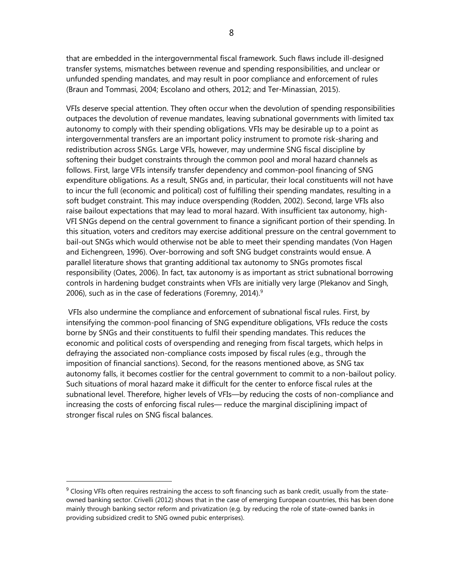that are embedded in the intergovernmental fiscal framework. Such flaws include ill-designed transfer systems, mismatches between revenue and spending responsibilities, and unclear or unfunded spending mandates, and may result in poor compliance and enforcement of rules (Braun and Tommasi, 2004; Escolano and others, 2012; and Ter-Minassian, 2015).

VFIs deserve special attention. They often occur when the devolution of spending responsibilities outpaces the devolution of revenue mandates, leaving subnational governments with limited tax autonomy to comply with their spending obligations. VFIs may be desirable up to a point as intergovernmental transfers are an important policy instrument to promote risk-sharing and redistribution across SNGs. Large VFIs, however, may undermine SNG fiscal discipline by softening their budget constraints through the common pool and moral hazard channels as follows. First, large VFIs intensify transfer dependency and common-pool financing of SNG expenditure obligations. As a result, SNGs and, in particular, their local constituents will not have to incur the full (economic and political) cost of fulfilling their spending mandates, resulting in a soft budget constraint. This may induce overspending (Rodden, 2002). Second, large VFIs also raise bailout expectations that may lead to moral hazard. With insufficient tax autonomy, high-VFI SNGs depend on the central government to finance a significant portion of their spending. In this situation, voters and creditors may exercise additional pressure on the central government to bail-out SNGs which would otherwise not be able to meet their spending mandates (Von Hagen and Eichengreen, 1996). Over-borrowing and soft SNG budget constraints would ensue. A parallel literature shows that granting additional tax autonomy to SNGs promotes fiscal responsibility (Oates, 2006). In fact, tax autonomy is as important as strict subnational borrowing controls in hardening budget constraints when VFIs are initially very large (Plekanov and Singh, 2006), such as in the case of federations (Foremny, 2014). $9$ 

VFIs also undermine the compliance and enforcement of subnational fiscal rules. First, by intensifying the common-pool financing of SNG expenditure obligations, VFIs reduce the costs borne by SNGs and their constituents to fulfil their spending mandates. This reduces the economic and political costs of overspending and reneging from fiscal targets, which helps in defraying the associated non-compliance costs imposed by fiscal rules (e.g., through the imposition of financial sanctions). Second, for the reasons mentioned above, as SNG tax autonomy falls, it becomes costlier for the central government to commit to a non-bailout policy. Such situations of moral hazard make it difficult for the center to enforce fiscal rules at the subnational level. Therefore, higher levels of VFIs—by reducing the costs of non-compliance and increasing the costs of enforcing fiscal rules— reduce the marginal disciplining impact of stronger fiscal rules on SNG fiscal balances.

 $9$  Closing VFIs often requires restraining the access to soft financing such as bank credit, usually from the stateowned banking sector. Crivelli (2012) shows that in the case of emerging European countries, this has been done mainly through banking sector reform and privatization (e.g. by reducing the role of state-owned banks in providing subsidized credit to SNG owned pubic enterprises).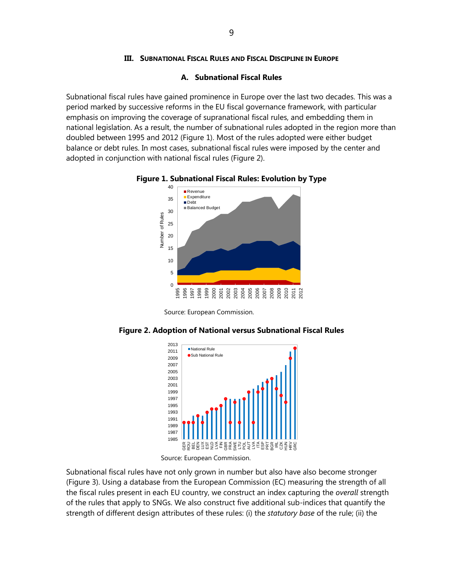#### **III. SUBNATIONAL FISCAL RULES AND FISCAL DISCIPLINE IN EUROPE**

#### **A. Subnational Fiscal Rules**

Subnational fiscal rules have gained prominence in Europe over the last two decades. This was a period marked by successive reforms in the EU fiscal governance framework, with particular emphasis on improving the coverage of supranational fiscal rules, and embedding them in national legislation. As a result, the number of subnational rules adopted in the region more than doubled between 1995 and 2012 (Figure 1). Most of the rules adopted were either budget balance or debt rules. In most cases, subnational fiscal rules were imposed by the center and adopted in conjunction with national fiscal rules (Figure 2).



**Figure 1. Subnational Fiscal Rules: Evolution by Type**

Source: European Commission.





Source: European Commission.

Subnational fiscal rules have not only grown in number but also have also become stronger (Figure 3). Using a database from the European Commission (EC) measuring the strength of all the fiscal rules present in each EU country, we construct an index capturing the *overall* strength of the rules that apply to SNGs. We also construct five additional sub-indices that quantify the strength of different design attributes of these rules: (i) the *statutory base* of the rule; (ii) the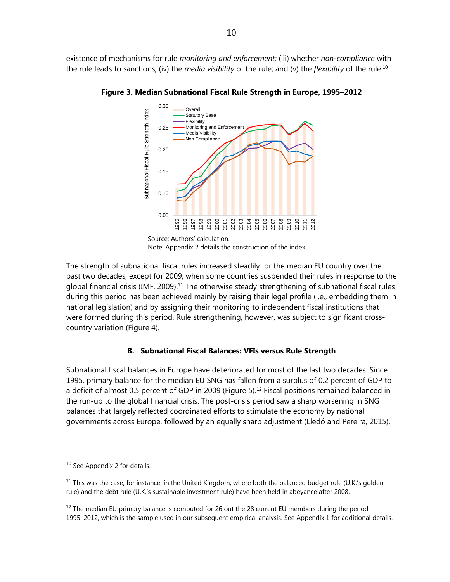existence of mechanisms for rule *monitoring and enforcement;* (iii) whether *non-compliance* with the rule leads to sanctions; (iv) the *media visibility* of the rule; and (v) the *flexibility* of the rule.<sup>10</sup>



**Figure 3. Median Subnational Fiscal Rule Strength in Europe, 1995–2012**

Note: Appendix 2 details the construction of the index.

The strength of subnational fiscal rules increased steadily for the median EU country over the past two decades, except for 2009, when some countries suspended their rules in response to the global financial crisis (IMF, 2009).<sup>11</sup> The otherwise steady strengthening of subnational fiscal rules during this period has been achieved mainly by raising their legal profile (i.e., embedding them in national legislation) and by assigning their monitoring to independent fiscal institutions that were formed during this period. Rule strengthening, however, was subject to significant crosscountry variation (Figure 4).

# **B. Subnational Fiscal Balances: VFIs versus Rule Strength**

Subnational fiscal balances in Europe have deteriorated for most of the last two decades. Since 1995, primary balance for the median EU SNG has fallen from a surplus of 0.2 percent of GDP to a deficit of almost 0.5 percent of GDP in 2009 (Figure 5).<sup>12</sup> Fiscal positions remained balanced in the run-up to the global financial crisis. The post-crisis period saw a sharp worsening in SNG balances that largely reflected coordinated efforts to stimulate the economy by national governments across Europe, followed by an equally sharp adjustment (Lledó and Pereira, 2015).

<sup>&</sup>lt;sup>10</sup> See Appendix 2 for details.

 $11$  This was the case, for instance, in the United Kingdom, where both the balanced budget rule (U.K.'s golden rule) and the debt rule (U.K.'s sustainable investment rule) have been held in abeyance after 2008.

 $12$  The median EU primary balance is computed for 26 out the 28 current EU members during the period 1995–2012, which is the sample used in our subsequent empirical analysis. See Appendix 1 for additional details.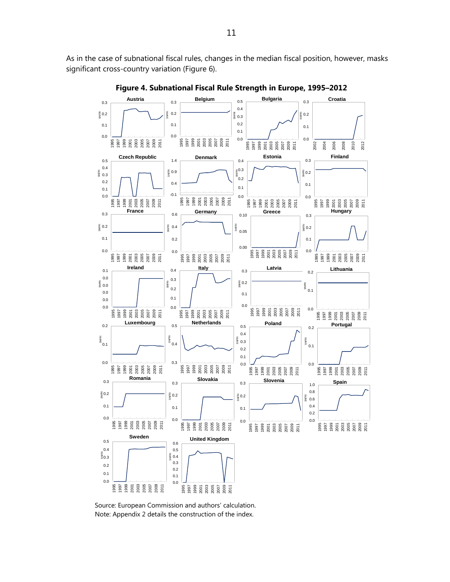As in the case of subnational fiscal rules, changes in the median fiscal position, however, masks significant cross-country variation (Figure 6).



**Figure 4. Subnational Fiscal Rule Strength in Europe, 1995–2012**

 Source: European Commission and authors' calculation. Note: Appendix 2 details the construction of the index.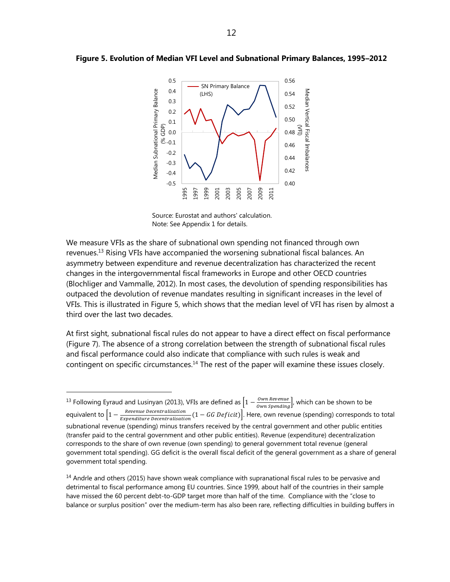

## **Figure 5. Evolution of Median VFI Level and Subnational Primary Balances, 1995–2012**

Source: Eurostat and authors' calculation. Note: See Appendix 1 for details.

We measure VFIs as the share of subnational own spending not financed through own revenues.<sup>13</sup> Rising VFIs have accompanied the worsening subnational fiscal balances. An asymmetry between expenditure and revenue decentralization has characterized the recent changes in the intergovernmental fiscal frameworks in Europe and other OECD countries (Blochliger and Vammalle, 2012). In most cases, the devolution of spending responsibilities has outpaced the devolution of revenue mandates resulting in significant increases in the level of VFIs. This is illustrated in Figure 5, which shows that the median level of VFI has risen by almost a third over the last two decades.

At first sight, subnational fiscal rules do not appear to have a direct effect on fiscal performance (Figure 7). The absence of a strong correlation between the strength of subnational fiscal rules and fiscal performance could also indicate that compliance with such rules is weak and contingent on specific circumstances.<sup>14</sup> The rest of the paper will examine these issues closely.

 $^{13}$  Following Eyraud and Lusinyan (2013), VFIs are defined as  $\left[1-\frac{O\le R}{O\le N}\frac{Revein}{2}\right]$ , which can be shown to be equivalent to  $\left[1 - \frac{Revenue\,Decimalization}{F_{\text{new}} + F_{\text{new}} + F_{\text{new}} + F_{\text{new}}}\right]$  $\frac{1}{\text{Expenditure Decentrulation}} (1 - GG Deficit)$ . Here, own revenue (spending) corresponds to total subnational revenue (spending) minus transfers received by the central government and other public entities (transfer paid to the central government and other public entities). Revenue (expenditure) decentralization corresponds to the share of own revenue (own spending) to general government total revenue (general government total spending). GG deficit is the overall fiscal deficit of the general government as a share of general government total spending.

<sup>&</sup>lt;sup>14</sup> Andrle and others (2015) have shown weak compliance with supranational fiscal rules to be pervasive and detrimental to fiscal performance among EU countries. Since 1999, about half of the countries in their sample have missed the 60 percent debt-to-GDP target more than half of the time. Compliance with the "close to balance or surplus position" over the medium-term has also been rare, reflecting difficulties in building buffers in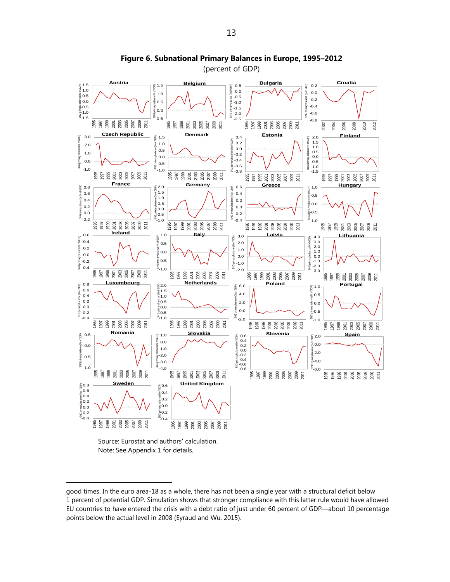

**Figure 6. Subnational Primary Balances in Europe, 1995–2012**

Note: See Appendix 1 for details.

 $\overline{a}$ good times. In the euro area-18 as a whole, there has not been a single year with a structural deficit below 1 percent of potential GDP. Simulation shows that stronger compliance with this latter rule would have allowed EU countries to have entered the crisis with a debt ratio of just under 60 percent of GDP—about 10 percentage points below the actual level in 2008 (Eyraud and Wu, 2015).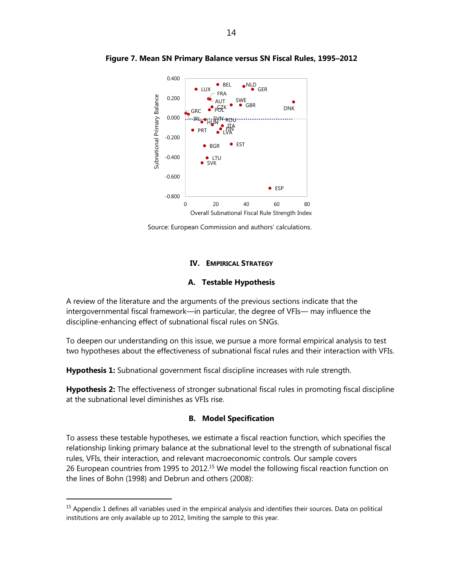

**Figure 7. Mean SN Primary Balance versus SN Fiscal Rules, 1995–2012**

Source: European Commission and authors' calculations.

#### **IV. EMPIRICAL STRATEGY**

#### **A. Testable Hypothesis**

A review of the literature and the arguments of the previous sections indicate that the intergovernmental fiscal framework—in particular, the degree of VFIs— may influence the discipline-enhancing effect of subnational fiscal rules on SNGs.

To deepen our understanding on this issue, we pursue a more formal empirical analysis to test two hypotheses about the effectiveness of subnational fiscal rules and their interaction with VFIs.

**Hypothesis 1:** Subnational government fiscal discipline increases with rule strength.

**Hypothesis 2:** The effectiveness of stronger subnational fiscal rules in promoting fiscal discipline at the subnational level diminishes as VFIs rise.

#### **B. Model Specification**

To assess these testable hypotheses, we estimate a fiscal reaction function, which specifies the relationship linking primary balance at the subnational level to the strength of subnational fiscal rules, VFIs, their interaction, and relevant macroeconomic controls. Our sample covers 26 European countries from 1995 to 2012.<sup>15</sup> We model the following fiscal reaction function on the lines of Bohn (1998) and Debrun and others (2008):

<sup>&</sup>lt;sup>15</sup> Appendix 1 defines all variables used in the empirical analysis and identifies their sources. Data on political institutions are only available up to 2012, limiting the sample to this year.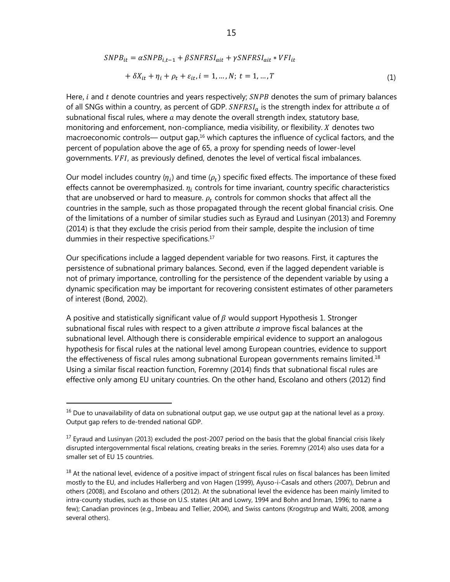$$
SNPB_{it} = \alpha SNPB_{i,t-1} + \beta SNFRSI_{ait} + \gamma SNFRSI_{ait} * VFI_{it}
$$
  
+  $\delta X_{it} + \eta_i + \rho_t + \varepsilon_{it}, i = 1, ..., N; t = 1, ..., T$  (1)

Here,  $i$  and  $t$  denote countries and years respectively;  $SNPB$  denotes the sum of primary balances of all SNGs within a country, as percent of GDP.  $SNFRSI_a$  is the strength index for attribute a of subnational fiscal rules, where  $a$  may denote the overall strength index, statutory base, monitoring and enforcement, non-compliance, media visibility, or flexibility.  $X$  denotes two macroeconomic controls— output gap,<sup>16</sup> which captures the influence of cyclical factors, and the percent of population above the age of 65, a proxy for spending needs of lower-level governments.  $VFI$ , as previously defined, denotes the level of vertical fiscal imbalances.

Our model includes country  $(\eta_i)$  and time ( $\rho_t$ ) specific fixed effects. The importance of these fixed effects cannot be overemphasized.  $\eta_i$  controls for time invariant, country specific characteristics that are unobserved or hard to measure.  $\rho_t$  controls for common shocks that affect all the countries in the sample, such as those propagated through the recent global financial crisis. One of the limitations of a number of similar studies such as Eyraud and Lusinyan (2013) and Foremny (2014) is that they exclude the crisis period from their sample, despite the inclusion of time dummies in their respective specifications.<sup>17</sup>

Our specifications include a lagged dependent variable for two reasons. First, it captures the persistence of subnational primary balances. Second, even if the lagged dependent variable is not of primary importance, controlling for the persistence of the dependent variable by using a dynamic specification may be important for recovering consistent estimates of other parameters of interest (Bond, 2002).

A positive and statistically significant value of  $\beta$  would support Hypothesis 1. Stronger subnational fiscal rules with respect to a given attribute *a* improve fiscal balances at the subnational level. Although there is considerable empirical evidence to support an analogous hypothesis for fiscal rules at the national level among European countries, evidence to support the effectiveness of fiscal rules among subnational European governments remains limited.<sup>18</sup> Using a similar fiscal reaction function, Foremny (2014) finds that subnational fiscal rules are effective only among EU unitary countries. On the other hand, Escolano and others (2012) find

 $16$  Due to unavailability of data on subnational output gap, we use output gap at the national level as a proxy. Output gap refers to de-trended national GDP.

 $17$  Eyraud and Lusinyan (2013) excluded the post-2007 period on the basis that the global financial crisis likely disrupted intergovernmental fiscal relations, creating breaks in the series. Foremny (2014) also uses data for a smaller set of EU 15 countries.

 $18$  At the national level, evidence of a positive impact of stringent fiscal rules on fiscal balances has been limited mostly to the EU, and includes Hallerberg and von Hagen (1999), Ayuso-i-Casals and others (2007), Debrun and others (2008), and Escolano and others (2012). At the subnational level the evidence has been mainly limited to intra-county studies, such as those on U.S. states (Alt and Lowry, 1994 and Bohn and Inman, 1996; to name a few); Canadian provinces (e.g., Imbeau and Tellier, 2004), and Swiss cantons (Krogstrup and Walti, 2008, among several others).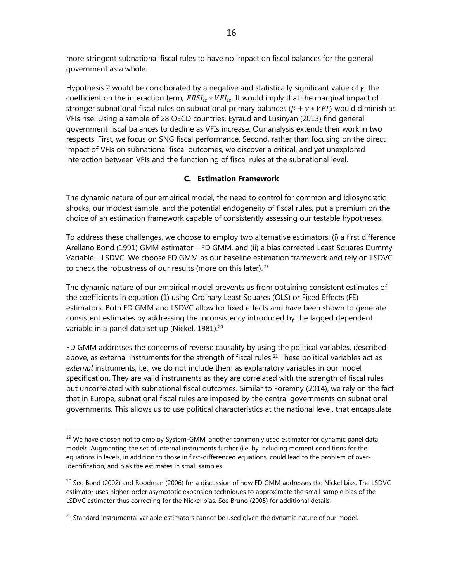more stringent subnational fiscal rules to have no impact on fiscal balances for the general government as a whole.

Hypothesis 2 would be corroborated by a negative and statistically significant value of  $\gamma$ , the coefficient on the interaction term,  $FRSI_{it} * VFI_{it}$ . It would imply that the marginal impact of stronger subnational fiscal rules on subnational primary balances ( $\beta + \gamma * VFI$ ) would diminish as VFIs rise. Using a sample of 28 OECD countries, Eyraud and Lusinyan (2013) find general government fiscal balances to decline as VFIs increase. Our analysis extends their work in two respects. First, we focus on SNG fiscal performance. Second, rather than focusing on the direct impact of VFIs on subnational fiscal outcomes, we discover a critical, and yet unexplored interaction between VFIs and the functioning of fiscal rules at the subnational level.

# **C. Estimation Framework**

The dynamic nature of our empirical model, the need to control for common and idiosyncratic shocks, our modest sample, and the potential endogeneity of fiscal rules, put a premium on the choice of an estimation framework capable of consistently assessing our testable hypotheses.

To address these challenges, we choose to employ two alternative estimators: (i) a first difference Arellano Bond (1991) GMM estimator—FD GMM, and (ii) a bias corrected Least Squares Dummy Variable—LSDVC. We choose FD GMM as our baseline estimation framework and rely on LSDVC to check the robustness of our results (more on this later).<sup>19</sup>

The dynamic nature of our empirical model prevents us from obtaining consistent estimates of the coefficients in equation (1) using Ordinary Least Squares (OLS) or Fixed Effects (FE) estimators. Both FD GMM and LSDVC allow for fixed effects and have been shown to generate consistent estimates by addressing the inconsistency introduced by the lagged dependent variable in a panel data set up (Nickel, 1981).<sup>20</sup>

FD GMM addresses the concerns of reverse causality by using the political variables, described above, as external instruments for the strength of fiscal rules.<sup>21</sup> These political variables act as *external* instruments, i.e., we do not include them as explanatory variables in our model specification. They are valid instruments as they are correlated with the strength of fiscal rules but uncorrelated with subnational fiscal outcomes. Similar to Foremny (2014), we rely on the fact that in Europe, subnational fiscal rules are imposed by the central governments on subnational governments. This allows us to use political characteristics at the national level, that encapsulate

<sup>&</sup>lt;sup>19</sup> We have chosen not to employ System-GMM, another commonly used estimator for dynamic panel data models. Augmenting the set of internal instruments further (i.e. by including moment conditions for the equations in levels, in addition to those in first-differenced equations, could lead to the problem of overidentification, and bias the estimates in small samples.

 $^{20}$  See Bond (2002) and Roodman (2006) for a discussion of how FD GMM addresses the Nickel bias. The LSDVC estimator uses higher-order asymptotic expansion techniques to approximate the small sample bias of the LSDVC estimator thus correcting for the Nickel bias. See Bruno (2005) for additional details.

<sup>&</sup>lt;sup>21</sup> Standard instrumental variable estimators cannot be used given the dynamic nature of our model.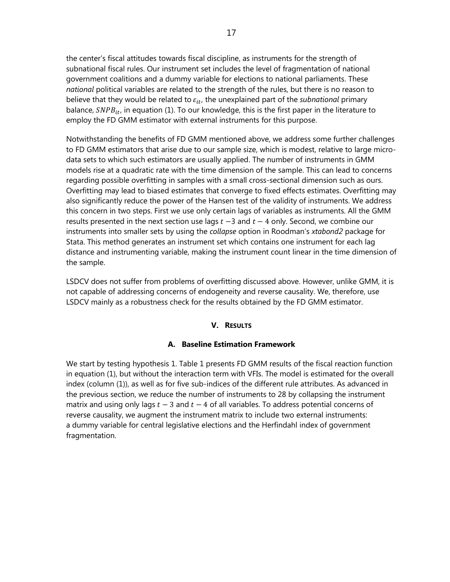the center's fiscal attitudes towards fiscal discipline, as instruments for the strength of subnational fiscal rules. Our instrument set includes the level of fragmentation of national government coalitions and a dummy variable for elections to national parliaments. These *national* political variables are related to the strength of the rules, but there is no reason to believe that they would be related to  $\varepsilon_{it}$ , the unexplained part of the *subnational* primary balance,  $SNPB_{it}$ , in equation (1). To our knowledge, this is the first paper in the literature to employ the FD GMM estimator with external instruments for this purpose.

Notwithstanding the benefits of FD GMM mentioned above, we address some further challenges to FD GMM estimators that arise due to our sample size, which is modest, relative to large microdata sets to which such estimators are usually applied. The number of instruments in GMM models rise at a quadratic rate with the time dimension of the sample. This can lead to concerns regarding possible overfitting in samples with a small cross-sectional dimension such as ours. Overfitting may lead to biased estimates that converge to fixed effects estimates. Overfitting may also significantly reduce the power of the Hansen test of the validity of instruments. We address this concern in two steps. First we use only certain lags of variables as instruments. All the GMM results presented in the next section use lags  $t-3$  and  $t-4$  only. Second, we combine our instruments into smaller sets by using the *collapse* option in Roodman's *xtabond2* package for Stata. This method generates an instrument set which contains one instrument for each lag distance and instrumenting variable, making the instrument count linear in the time dimension of the sample.

LSDCV does not suffer from problems of overfitting discussed above. However, unlike GMM, it is not capable of addressing concerns of endogeneity and reverse causality. We, therefore, use LSDCV mainly as a robustness check for the results obtained by the FD GMM estimator.

## **V. RESULTS**

#### **A. Baseline Estimation Framework**

We start by testing hypothesis 1. Table 1 presents FD GMM results of the fiscal reaction function in equation (1), but without the interaction term with VFIs. The model is estimated for the overall index (column (1)), as well as for five sub-indices of the different rule attributes. As advanced in the previous section, we reduce the number of instruments to 28 by collapsing the instrument matrix and using only lags  $t - 3$  and  $t - 4$  of all variables. To address potential concerns of reverse causality, we augment the instrument matrix to include two external instruments: a dummy variable for central legislative elections and the Herfindahl index of government fragmentation.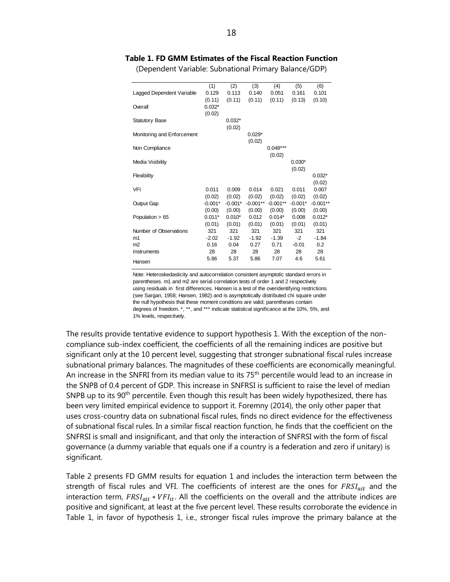|  | Table 1. FD GMM Estimates of the Fiscal Reaction Function |  |  |  |
|--|-----------------------------------------------------------|--|--|--|
|  |                                                           |  |  |  |

(Dependent Variable: Subnational Primary Balance/GDP)

|                            | (1)       | (2)       | (3)        | (4)        | (5)       | (6)        |
|----------------------------|-----------|-----------|------------|------------|-----------|------------|
| Lagged Dependent Variable  | 0.129     | 0.113     | 0.140      | 0.051      | 0.161     | 0.101      |
|                            | (0.11)    | (0.11)    | (0.11)     | (0.11)     | (0.13)    | (0.10)     |
| Overall                    | $0.032*$  |           |            |            |           |            |
|                            | (0.02)    |           |            |            |           |            |
| <b>Statutory Base</b>      |           | $0.032*$  |            |            |           |            |
|                            |           | (0.02)    |            |            |           |            |
| Monitoring and Enforcement |           |           | $0.029*$   |            |           |            |
|                            |           |           | (0.02)     |            |           |            |
| Non Compliance             |           |           |            | $0.048***$ |           |            |
|                            |           |           |            | (0.02)     |           |            |
| Media Visibility           |           |           |            |            | $0.030*$  |            |
|                            |           |           |            |            | (0.02)    |            |
| Flexibility                |           |           |            |            |           | $0.032*$   |
|                            |           |           |            |            |           | (0.02)     |
| <b>VFI</b>                 | 0.011     | 0.009     | 0.014      | 0.021      | 0.011     | 0.007      |
|                            | (0.02)    | (0.02)    | (0.02)     | (0.02)     | (0.02)    | (0.02)     |
| <b>Output Gap</b>          | $-0.001*$ | $-0.001*$ | $-0.001**$ | $-0.001**$ | $-0.001*$ | $-0.001**$ |
|                            | (0.00)    | (0.00)    | (0.00)     | (0.00)     | (0.00)    | (0.00)     |
| Population > 65            | $0.011*$  | $0.010*$  | 0.012      | $0.014*$   | 0.008     | $0.012*$   |
|                            | (0.01)    | (0.01)    | (0.01)     | (0.01)     | (0.01)    | (0.01)     |
| Number of Observations     | 321       | 321       | 321        | 321        | 321       | 321        |
| m1                         | $-2.02$   | $-1.92$   | $-1.92$    | $-1.39$    | $-2$      | $-1.84$    |
| m2                         | 0.16      | 0.04      | 0.27       | 0.71       | $-0.01$   | 0.2        |
| Instruments                | 28        | 28        | 28         | 28         | 28        | 28         |
| Hansen                     | 5.86      | 5.37      | 5.86       | 7.07       | 4.6       | 5.61       |

Note: Heteroskedasticity and autocorrelation consistent asymptotic standard errors in parentheses. m1 and m2 are serial correlation tests of order 1 and 2 respectively using residuals in first differences. Hansen is a test of the overidentifying restrictions (see Sargan, 1958; Hansen, 1982) and is asymptotically distributed chi square under the null hypothesis that these moment conditions are valid; parentheses contain degrees of freedom. \*, \*\*, and \*\*\* indicate statistical significance at the 10%, 5%, and 1% levels, respectively.

The results provide tentative evidence to support hypothesis 1. With the exception of the noncompliance sub-index coefficient, the coefficients of all the remaining indices are positive but significant only at the 10 percent level, suggesting that stronger subnational fiscal rules increase subnational primary balances. The magnitudes of these coefficients are economically meaningful. An increase in the SNFRI from its median value to its  $75<sup>th</sup>$  percentile would lead to an increase in the SNPB of 0.4 percent of GDP. This increase in SNFRSI is sufficient to raise the level of median SNPB up to its 90<sup>th</sup> percentile. Even though this result has been widely hypothesized, there has been very limited empirical evidence to support it. Foremny (2014), the only other paper that uses cross-country data on subnational fiscal rules, finds no direct evidence for the effectiveness of subnational fiscal rules. In a similar fiscal reaction function, he finds that the coefficient on the SNFRSI is small and insignificant, and that only the interaction of SNFRSI with the form of fiscal governance (a dummy variable that equals one if a country is a federation and zero if unitary) is significant.

Table 2 presents FD GMM results for equation 1 and includes the interaction term between the strength of fiscal rules and VFI. The coefficients of interest are the ones for  $FRSI_{ait}$  and the interaction term,  $FRSI_{ait} * VFI_{it}$ . All the coefficients on the overall and the attribute indices are positive and significant, at least at the five percent level. These results corroborate the evidence in Table 1, in favor of hypothesis 1, i.e., stronger fiscal rules improve the primary balance at the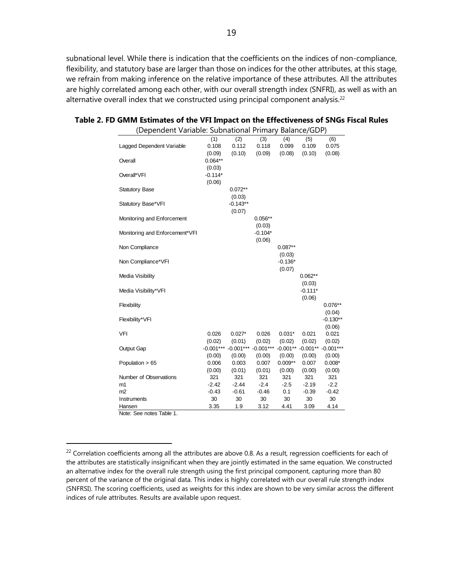subnational level. While there is indication that the coefficients on the indices of non-compliance, flexibility, and statutory base are larger than those on indices for the other attributes, at this stage, we refrain from making inference on the relative importance of these attributes. All the attributes are highly correlated among each other, with our overall strength index (SNFRI), as well as with an alternative overall index that we constructed using principal component analysis.<sup>22</sup>

| (Dependent Variable: Subnational Primary Balance/GDP) |           |                                                                       |           |           |           |            |
|-------------------------------------------------------|-----------|-----------------------------------------------------------------------|-----------|-----------|-----------|------------|
|                                                       | (1)       | (2)                                                                   | (3)       | (4)       | (5)       | (6)        |
| Lagged Dependent Variable                             | 0.108     | 0.112                                                                 | 0.118     | 0.099     | 0.109     | 0.075      |
|                                                       | (0.09)    | (0.10)                                                                | (0.09)    | (0.08)    | (0.10)    | (0.08)     |
| Overall                                               | $0.064**$ |                                                                       |           |           |           |            |
|                                                       | (0.03)    |                                                                       |           |           |           |            |
| Overall*VFI                                           | $-0.114*$ |                                                                       |           |           |           |            |
|                                                       | (0.06)    |                                                                       |           |           |           |            |
| <b>Statutory Base</b>                                 |           | $0.072**$                                                             |           |           |           |            |
|                                                       |           | (0.03)                                                                |           |           |           |            |
| Statutory Base*VFI                                    |           | $-0.143**$                                                            |           |           |           |            |
|                                                       |           | (0.07)                                                                |           |           |           |            |
| Monitoring and Enforcement                            |           |                                                                       | $0.056**$ |           |           |            |
|                                                       |           |                                                                       | (0.03)    |           |           |            |
| Monitoring and Enforcement*VFI                        |           |                                                                       | $-0.104*$ |           |           |            |
|                                                       |           |                                                                       | (0.06)    |           |           |            |
| Non Compliance                                        |           |                                                                       |           | $0.087**$ |           |            |
|                                                       |           |                                                                       |           | (0.03)    |           |            |
| Non Compliance*VFI                                    |           |                                                                       |           | $-0.136*$ |           |            |
|                                                       |           |                                                                       |           | (0.07)    |           |            |
| Media Visibility                                      |           |                                                                       |           |           | $0.062**$ |            |
|                                                       |           |                                                                       |           |           | (0.03)    |            |
| Media Visibility*VFI                                  |           |                                                                       |           |           | $-0.111*$ |            |
|                                                       |           |                                                                       |           |           | (0.06)    |            |
| Flexibility                                           |           |                                                                       |           |           |           | 0.076**    |
|                                                       |           |                                                                       |           |           |           | (0.04)     |
| Flexibility*VFI                                       |           |                                                                       |           |           |           | $-0.130**$ |
|                                                       |           |                                                                       |           |           |           | (0.06)     |
| <b>VFI</b>                                            | 0.026     | $0.027*$                                                              | 0.026     | $0.031*$  | 0.021     | 0.021      |
|                                                       | (0.02)    | (0.01)                                                                | (0.02)    | (0.02)    | (0.02)    | (0.02)     |
| <b>Output Gap</b>                                     |           | $-0.001***$ $-0.001***$ $-0.001***$ $-0.001**$ $-0.001**$ $-0.001***$ |           |           |           |            |
|                                                       | (0.00)    | (0.00)                                                                | (0.00)    | (0.00)    | (0.00)    | (0.00)     |
| Population > 65                                       | 0.006     | 0.003                                                                 | 0.007     | $0.009**$ | 0.007     | $0.008*$   |
|                                                       | (0.00)    | (0.01)                                                                | (0.01)    | (0.00)    | (0.00)    | (0.00)     |
| Number of Observations                                | 321       | 321                                                                   | 321       | 321       | 321       | 321        |
| m1                                                    | $-2.42$   | $-2.44$                                                               | $-2.4$    | $-2.5$    | $-2.19$   | $-2.2$     |
| m <sub>2</sub>                                        | $-0.43$   | $-0.61$                                                               | $-0.46$   | 0.1       | $-0.39$   | $-0.42$    |
| Instruments                                           | 30        | 30                                                                    | 30        | 30        | 30        | 30         |
| Hansen                                                | 3.35      | 1.9                                                                   | 3.12      | 4.41      | 3.09      | 4.14       |

#### **Table 2. FD GMM Estimates of the VFI Impact on the Effectiveness of SNGs Fiscal Rules**

Note: See notes Table 1.

 $22$  Correlation coefficients among all the attributes are above 0.8. As a result, regression coefficients for each of the attributes are statistically insignificant when they are jointly estimated in the same equation. We constructed an alternative index for the overall rule strength using the first principal component, capturing more than 80 percent of the variance of the original data. This index is highly correlated with our overall rule strength index (SNFRSI). The scoring coefficients, used as weights for this index are shown to be very similar across the different indices of rule attributes. Results are available upon request.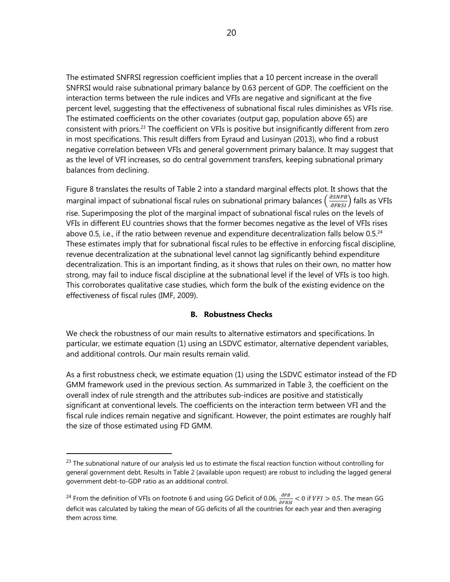The estimated SNFRSI regression coefficient implies that a 10 percent increase in the overall SNFRSI would raise subnational primary balance by 0.63 percent of GDP. The coefficient on the interaction terms between the rule indices and VFIs are negative and significant at the five percent level, suggesting that the effectiveness of subnational fiscal rules diminishes as VFIs rise. The estimated coefficients on the other covariates (output gap, population above 65) are consistent with priors. <sup>23</sup> The coefficient on VFIs is positive but insignificantly different from zero in most specifications. This result differs from Eyraud and Lusinyan (2013), who find a robust negative correlation between VFIs and general government primary balance. It may suggest that as the level of VFI increases, so do central government transfers, keeping subnational primary balances from declining.

Figure 8 translates the results of Table 2 into a standard marginal effects plot. It shows that the marginal impact of subnational fiscal rules on subnational primary balances  $\left(\frac{\partial SNPB}{\partial FRSI}\right)$  falls as VFIs rise. Superimposing the plot of the marginal impact of subnational fiscal rules on the levels of VFIs in different EU countries shows that the former becomes negative as the level of VFIs rises above 0.5, i.e., if the ratio between revenue and expenditure decentralization falls below  $0.5<sup>24</sup>$ These estimates imply that for subnational fiscal rules to be effective in enforcing fiscal discipline, revenue decentralization at the subnational level cannot lag significantly behind expenditure decentralization. This is an important finding, as it shows that rules on their own, no matter how strong, may fail to induce fiscal discipline at the subnational level if the level of VFIs is too high. This corroborates qualitative case studies, which form the bulk of the existing evidence on the effectiveness of fiscal rules (IMF, 2009).

#### **B. Robustness Checks**

We check the robustness of our main results to alternative estimators and specifications. In particular, we estimate equation (1) using an LSDVC estimator, alternative dependent variables, and additional controls. Our main results remain valid.

As a first robustness check, we estimate equation (1) using the LSDVC estimator instead of the FD GMM framework used in the previous section. As summarized in Table 3, the coefficient on the overall index of rule strength and the attributes sub-indices are positive and statistically significant at conventional levels. The coefficients on the interaction term between VFI and the fiscal rule indices remain negative and significant. However, the point estimates are roughly half the size of those estimated using FD GMM.

<sup>&</sup>lt;sup>23</sup> The subnational nature of our analysis led us to estimate the fiscal reaction function without controlling for general government debt. Results in Table 2 (available upon request) are robust to including the lagged general government debt-to-GDP ratio as an additional control.

<sup>&</sup>lt;sup>24</sup> From the definition of VFIs on footnote 6 and using GG Deficit of 0.06,  $\frac{\partial PB}{\partial FRSI}$  < 0 if  $VFI$   $>$  0.5. The mean GG deficit was calculated by taking the mean of GG deficits of all the countries for each year and then averaging them across time.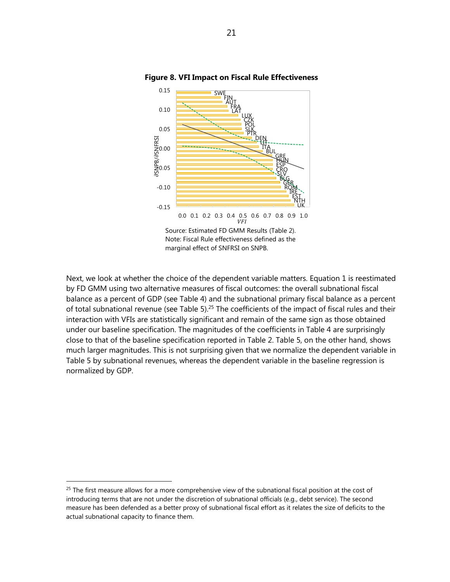

**Figure 8. VFI Impact on Fiscal Rule Effectiveness**

Next, we look at whether the choice of the dependent variable matters. Equation 1 is reestimated by FD GMM using two alternative measures of fiscal outcomes: the overall subnational fiscal balance as a percent of GDP (see Table 4) and the subnational primary fiscal balance as a percent of total subnational revenue (see Table 5).<sup>25</sup> The coefficients of the impact of fiscal rules and their interaction with VFIs are statistically significant and remain of the same sign as those obtained under our baseline specification. The magnitudes of the coefficients in Table 4 are surprisingly close to that of the baseline specification reported in Table 2. Table 5, on the other hand, shows much larger magnitudes. This is not surprising given that we normalize the dependent variable in Table 5 by subnational revenues, whereas the dependent variable in the baseline regression is normalized by GDP.

<sup>&</sup>lt;sup>25</sup> The first measure allows for a more comprehensive view of the subnational fiscal position at the cost of introducing terms that are not under the discretion of subnational officials (e.g., debt service). The second measure has been defended as a better proxy of subnational fiscal effort as it relates the size of deficits to the actual subnational capacity to finance them.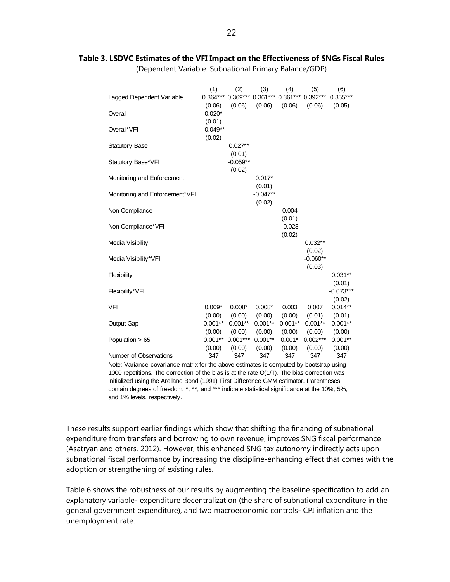#### **Table 3. LSDVC Estimates of the VFI Impact on the Effectiveness of SNGs Fiscal Rules**

 $(1)$   $(2)$   $(3)$   $(4)$   $(5)$   $(6)$ Lagged Dependent Variable  $0.364***0.369***0.361***0.361***0.392***0.355***$ (0.06) (0.06) (0.06) (0.06) (0.06) (0.05) Overall 0.020\*  $(0.01)$ 

(Dependent Variable: Subnational Primary Balance/GDP)

| Overall*VFI                    | (0.01)<br>$-0.049**$ |                     |                     |                     |                     |                     |
|--------------------------------|----------------------|---------------------|---------------------|---------------------|---------------------|---------------------|
|                                | (0.02)               |                     |                     |                     |                     |                     |
| <b>Statutory Base</b>          |                      | $0.027**$           |                     |                     |                     |                     |
|                                |                      | (0.01)              |                     |                     |                     |                     |
| Statutory Base*VFI             |                      | $-0.059**$          |                     |                     |                     |                     |
|                                |                      | (0.02)              |                     |                     |                     |                     |
| Monitoring and Enforcement     |                      |                     | $0.017*$<br>(0.01)  |                     |                     |                     |
| Monitoring and Enforcement*VFI |                      |                     | $-0.047**$          |                     |                     |                     |
|                                |                      |                     | (0.02)              |                     |                     |                     |
| Non Compliance                 |                      |                     |                     | 0.004               |                     |                     |
|                                |                      |                     |                     | (0.01)              |                     |                     |
| Non Compliance*VFI             |                      |                     |                     | $-0.028$            |                     |                     |
|                                |                      |                     |                     | (0.02)              |                     |                     |
| Media Visibility               |                      |                     |                     |                     | $0.032**$<br>(0.02) |                     |
| Media Visibility*VFI           |                      |                     |                     |                     | $-0.060**$          |                     |
|                                |                      |                     |                     |                     | (0.03)              |                     |
| Flexibility                    |                      |                     |                     |                     |                     | $0.031**$           |
|                                |                      |                     |                     |                     |                     | (0.01)              |
| Flexibility*VFI                |                      |                     |                     |                     |                     | $-0.073***$         |
|                                |                      |                     |                     |                     |                     | (0.02)              |
| <b>VFI</b>                     | $0.009*$             | $0.008*$            | $0.008*$            | 0.003               | 0.007               | $0.014**$           |
| <b>Output Gap</b>              | (0.00)<br>$0.001**$  | (0.00)<br>$0.001**$ | (0.00)<br>$0.001**$ | (0.00)<br>$0.001**$ | (0.01)<br>$0.001**$ | (0.01)<br>$0.001**$ |
|                                | (0.00)               | (0.00)              | (0.00)              | (0.00)              | (0.00)              | (0.00)              |
| Population > 65                |                      | $0.001***$ 0.001*** | $0.001**$           | $0.001*$            | $0.002***$          | $0.001**$           |
|                                | (0.00)               | (0.00)              | (0.00)              | (0.00)              | (0.00)              | (0.00)              |
| Number of Observations         | 347                  | 347                 | 347                 | 347                 | 347                 | 347                 |

Note: Variance-covariance matrix for the above estimates is computed by bootstrap using 1000 repetitions. The correction of the bias is at the rate  $O(1/T)$ . The bias correction was initialized using the Arellano Bond (1991) First Difference GMM estimator. Parentheses contain degrees of freedom. \*, \*\*, and \*\*\* indicate statistical significance at the 10%, 5%, and 1% levels, respectively.

These results support earlier findings which show that shifting the financing of subnational expenditure from transfers and borrowing to own revenue, improves SNG fiscal performance (Asatryan and others, 2012). However, this enhanced SNG tax autonomy indirectly acts upon subnational fiscal performance by increasing the discipline-enhancing effect that comes with the adoption or strengthening of existing rules.

Table 6 shows the robustness of our results by augmenting the baseline specification to add an explanatory variable- expenditure decentralization (the share of subnational expenditure in the general government expenditure), and two macroeconomic controls- CPI inflation and the unemployment rate.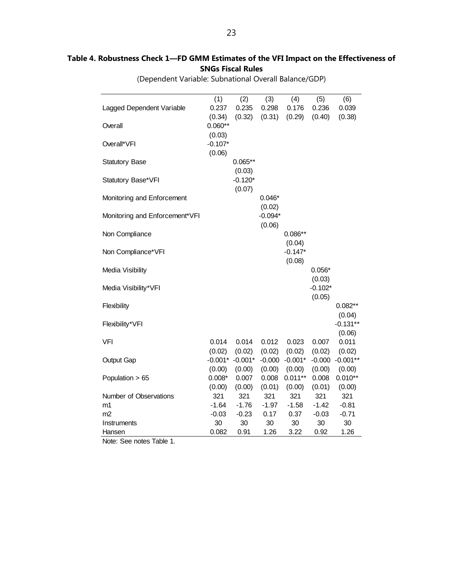# **Table 4. Robustness Check 1—FD GMM Estimates of the VFI Impact on the Effectiveness of SNGs Fiscal Rules**

|                                | (1)                 | (2)                 | (3)                | (4)                 | (5)       | (6)                          |
|--------------------------------|---------------------|---------------------|--------------------|---------------------|-----------|------------------------------|
| Lagged Dependent Variable      | 0.237               | 0.235               | 0.298              | 0.176               | 0.236     | 0.039                        |
|                                | (0.34)              | (0.32)              | (0.31)             | (0.29)              | (0.40)    | (0.38)                       |
| Overall                        | $0.060**$           |                     |                    |                     |           |                              |
|                                | (0.03)              |                     |                    |                     |           |                              |
| Overall*VFI                    | $-0.107*$           |                     |                    |                     |           |                              |
|                                | (0.06)              |                     |                    |                     |           |                              |
| <b>Statutory Base</b>          |                     | $0.065**$           |                    |                     |           |                              |
|                                |                     | (0.03)              |                    |                     |           |                              |
| Statutory Base*VFI             |                     | $-0.120*$           |                    |                     |           |                              |
|                                |                     | (0.07)              |                    |                     |           |                              |
| Monitoring and Enforcement     |                     |                     | $0.046*$<br>(0.02) |                     |           |                              |
| Monitoring and Enforcement*VFI |                     |                     | $-0.094*$          |                     |           |                              |
|                                |                     |                     | (0.06)             |                     |           |                              |
| Non Compliance                 |                     |                     |                    | $0.086**$           |           |                              |
|                                |                     |                     |                    | (0.04)              |           |                              |
| Non Compliance*VFI             |                     |                     |                    | $-0.147*$           |           |                              |
|                                |                     |                     |                    | (0.08)              |           |                              |
| Media Visibility               |                     |                     |                    |                     | $0.056*$  |                              |
|                                |                     |                     |                    |                     | (0.03)    |                              |
| Media Visibility*VFI           |                     |                     |                    |                     | $-0.102*$ |                              |
|                                |                     |                     |                    |                     | (0.05)    |                              |
| Flexibility                    |                     |                     |                    |                     |           | $0.082**$                    |
|                                |                     |                     |                    |                     |           | (0.04)                       |
| Flexibility*VFI                |                     |                     |                    |                     |           | $-0.131**$                   |
|                                |                     |                     |                    |                     |           | (0.06)                       |
| <b>VFI</b>                     | 0.014               | 0.014               | 0.012              | 0.023               | 0.007     | 0.011                        |
| <b>Output Gap</b>              | (0.02)<br>$-0.001*$ | (0.02)<br>$-0.001*$ | (0.02)<br>$-0.000$ | (0.02)<br>$-0.001*$ | (0.02)    | (0.02)<br>$-0.000 - 0.001**$ |
|                                | (0.00)              | (0.00)              | (0.00)             | (0.00)              | (0.00)    | (0.00)                       |
| Population > 65                | $0.008*$            | 0.007               | 0.008              | $0.011**$           | 0.008     | $0.010**$                    |
|                                | (0.00)              | (0.00)              | (0.01)             | (0.00)              | (0.01)    | (0.00)                       |
| Number of Observations         | 321                 | 321                 | 321                | 321                 | 321       | 321                          |
| m1                             | $-1.64$             | $-1.76$             | $-1.97$            | $-1.58$             | $-1.42$   | $-0.81$                      |
| m <sub>2</sub>                 | $-0.03$             | $-0.23$             | 0.17               | 0.37                | $-0.03$   | $-0.71$                      |
| Instruments                    | 30                  | 30                  | 30                 | 30                  | 30        | 30                           |
| Hansen                         | 0.082               | 0.91                | 1.26               | 3.22                | 0.92      | 1.26                         |

(Dependent Variable: Subnational Overall Balance/GDP)

Note: See notes Table 1.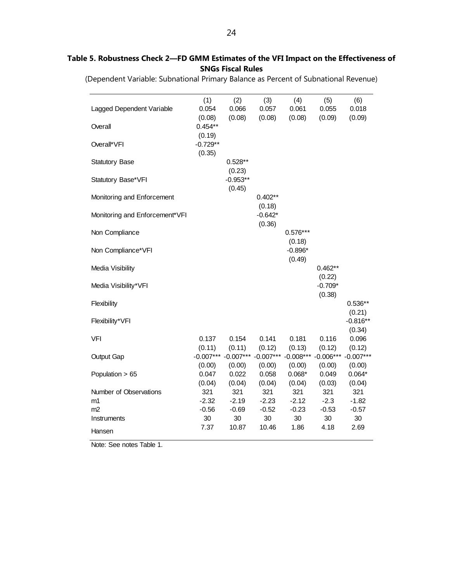# **Table 5. Robustness Check 2—FD GMM Estimates of the VFI Impact on the Effectiveness of SNGs Fiscal Rules**

(Dependent Variable: Subnational Primary Balance as Percent of Subnational Revenue)

| Lagged Dependent Variable      | (1)<br>0.054<br>(0.08) | (2)<br>0.066<br>(0.08) | (3)<br>0.057<br>(0.08)                        | (4)<br>0.061<br>(0.08)            | (5)<br>0.055<br>(0.09) | (6)<br>0.018<br>(0.09) |
|--------------------------------|------------------------|------------------------|-----------------------------------------------|-----------------------------------|------------------------|------------------------|
| Overall                        | $0.454**$<br>(0.19)    |                        |                                               |                                   |                        |                        |
| Overall*VFI                    | $-0.729**$<br>(0.35)   |                        |                                               |                                   |                        |                        |
| <b>Statutory Base</b>          |                        | $0.528**$<br>(0.23)    |                                               |                                   |                        |                        |
| Statutory Base*VFI             |                        | $-0.953**$<br>(0.45)   |                                               |                                   |                        |                        |
| Monitoring and Enforcement     |                        |                        | $0.402**$<br>(0.18)                           |                                   |                        |                        |
| Monitoring and Enforcement*VFI |                        |                        | $-0.642*$<br>(0.36)                           |                                   |                        |                        |
| Non Compliance                 |                        |                        |                                               | $0.576***$<br>(0.18)              |                        |                        |
| Non Compliance*VFI             |                        |                        |                                               | $-0.896*$<br>(0.49)               |                        |                        |
| Media Visibility               |                        |                        |                                               |                                   | $0.462**$<br>(0.22)    |                        |
| Media Visibility*VFI           |                        |                        |                                               |                                   | $-0.709*$<br>(0.38)    |                        |
| Flexibility                    |                        |                        |                                               |                                   |                        | $0.536**$<br>(0.21)    |
| Flexibility*VFI                |                        |                        |                                               |                                   |                        | $-0.816**$<br>(0.34)   |
| <b>VFI</b>                     | 0.137<br>(0.11)        | 0.154<br>(0.11)        | 0.141<br>(0.12)                               | 0.181<br>(0.13)                   | 0.116<br>(0.12)        | 0.096<br>(0.12)        |
| Output Gap                     | (0.00)                 | (0.00)                 | $-0.007***$ $-0.007***$ $-0.007***$<br>(0.00) | $-0.008***$ $-0.006***$<br>(0.00) | (0.00)                 | $-0.007***$<br>(0.00)  |
| Population > 65                | 0.047<br>(0.04)        | 0.022<br>(0.04)        | 0.058<br>(0.04)                               | $0.068*$<br>(0.04)                | 0.049<br>(0.03)        | $0.064*$<br>(0.04)     |
| Number of Observations         | 321                    | 321                    | 321                                           | 321                               | 321                    | 321                    |
| m1                             | $-2.32$                | $-2.19$                | $-2.23$                                       | $-2.12$                           | $-2.3$                 | $-1.82$                |
| m <sub>2</sub>                 | $-0.56$                | $-0.69$                | $-0.52$                                       | $-0.23$                           | $-0.53$                | $-0.57$                |
| Instruments                    | 30                     | 30                     | 30                                            | 30                                | 30                     | 30                     |
| Hansen                         | 7.37                   | 10.87                  | 10.46                                         | 1.86                              | 4.18                   | 2.69                   |

Note: See notes Table 1.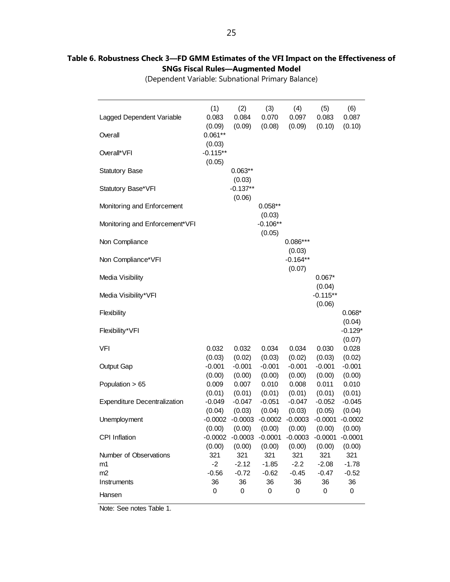# **Table 6. Robustness Check 3—FD GMM Estimates of the VFI Impact on the Effectiveness of SNGs Fiscal Rules—Augmented Model**

(Dependent Variable: Subnational Primary Balance)

| Lagged Dependent Variable           | (1)<br>0.083<br>(0.09)         | (2)<br>0.084<br>(0.09)                  | (3)<br>0.070<br>(0.08)       | (4)<br>0.097<br>(0.09)                                      | (5)<br>0.083<br>(0.10)         | (6)<br>0.087<br>(0.10)        |
|-------------------------------------|--------------------------------|-----------------------------------------|------------------------------|-------------------------------------------------------------|--------------------------------|-------------------------------|
| Overall                             | $0.061**$                      |                                         |                              |                                                             |                                |                               |
| Overall*VFI                         | (0.03)<br>$-0.115**$<br>(0.05) |                                         |                              |                                                             |                                |                               |
| <b>Statutory Base</b>               |                                | $0.063**$<br>(0.03)                     |                              |                                                             |                                |                               |
| Statutory Base*VFI                  |                                | $-0.137**$<br>(0.06)                    |                              |                                                             |                                |                               |
| Monitoring and Enforcement          |                                |                                         | $0.058**$<br>(0.03)          |                                                             |                                |                               |
| Monitoring and Enforcement*VFI      |                                |                                         | $-0.106**$<br>(0.05)         |                                                             |                                |                               |
| Non Compliance                      |                                |                                         |                              | 0.086***<br>(0.03)                                          |                                |                               |
| Non Compliance*VFI                  |                                |                                         |                              | $-0.164**$<br>(0.07)                                        |                                |                               |
| Media Visibility                    |                                |                                         |                              |                                                             | $0.067*$                       |                               |
| Media Visibility*VFI                |                                |                                         |                              |                                                             | (0.04)<br>$-0.115**$<br>(0.06) |                               |
| Flexibility                         |                                |                                         |                              |                                                             |                                | $0.068*$                      |
| Flexibility*VFI                     |                                |                                         |                              |                                                             |                                | (0.04)<br>$-0.129*$<br>(0.07) |
| VFI                                 | 0.032                          | 0.032                                   | 0.034                        | 0.034                                                       | 0.030                          | 0.028                         |
| <b>Output Gap</b>                   | (0.03)<br>$-0.001$<br>(0.00)   | (0.02)<br>$-0.001$<br>(0.00)            | (0.03)<br>$-0.001$<br>(0.00) | (0.02)<br>$-0.001$<br>(0.00)                                | (0.03)<br>$-0.001$<br>(0.00)   | (0.02)<br>$-0.001$<br>(0.00)  |
| Population > 65                     | 0.009                          | 0.007                                   | 0.010<br>(0.01)              | 0.008<br>(0.01)                                             | 0.011                          | 0.010                         |
| <b>Expenditure Decentralization</b> | (0.01)<br>$-0.049$<br>(0.04)   | (0.01)<br>$-0.047$<br>(0.03)            | $-0.051$<br>(0.04)           | $-0.047$<br>(0.03)                                          | (0.01)<br>$-0.052$<br>(0.05)   | (0.01)<br>$-0.045$<br>(0.04)  |
| Unemployment                        | $-0.0002$<br>(0.00)            | $-0.0003$<br>$(0.00)$ $(0.00)$ $(0.00)$ |                              | $-0.0002 - 0.0003$                                          | $-0.0001$<br>(0.00)            | $-0.0002$<br>(0.00)           |
| CPI Inflation                       | (0.00)                         | (0.00)                                  | (0.00)                       | $-0.0002$ $-0.0003$ $-0.0001$ $-0.0003$ $-0.0001$<br>(0.00) | (0.00)                         | $-0.0001$<br>(0.00)           |
| Number of Observations              | 321                            | 321                                     | 321                          | 321                                                         | 321                            | 321                           |
| m1                                  | $-2$                           | $-2.12$                                 | $-1.85$                      | $-2.2$                                                      | $-2.08$                        | $-1.78$                       |
| m <sub>2</sub>                      | $-0.56$                        | $-0.72$                                 | $-0.62$                      | $-0.45$                                                     | $-0.47$                        | $-0.52$                       |
| Instruments                         | 36<br>0                        | 36<br>0                                 | 36<br>0                      | 36<br>0                                                     | 36<br>0                        | 36<br>0                       |
| Hansen                              |                                |                                         |                              |                                                             |                                |                               |

Note: See notes Table 1.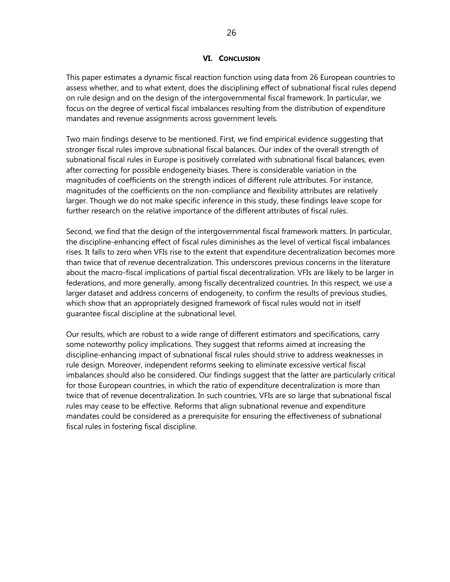#### **VI. CONCLUSION**

This paper estimates a dynamic fiscal reaction function using data from 26 European countries to assess whether, and to what extent, does the disciplining effect of subnational fiscal rules depend on rule design and on the design of the intergovernmental fiscal framework. In particular, we focus on the degree of vertical fiscal imbalances resulting from the distribution of expenditure mandates and revenue assignments across government levels.

Two main findings deserve to be mentioned. First, we find empirical evidence suggesting that stronger fiscal rules improve subnational fiscal balances. Our index of the overall strength of subnational fiscal rules in Europe is positively correlated with subnational fiscal balances, even after correcting for possible endogeneity biases. There is considerable variation in the magnitudes of coefficients on the strength indices of different rule attributes. For instance, magnitudes of the coefficients on the non-compliance and flexibility attributes are relatively larger. Though we do not make specific inference in this study, these findings leave scope for further research on the relative importance of the different attributes of fiscal rules.

Second, we find that the design of the intergovernmental fiscal framework matters. In particular, the discipline-enhancing effect of fiscal rules diminishes as the level of vertical fiscal imbalances rises. It falls to zero when VFIs rise to the extent that expenditure decentralization becomes more than twice that of revenue decentralization. This underscores previous concerns in the literature about the macro-fiscal implications of partial fiscal decentralization. VFIs are likely to be larger in federations, and more generally, among fiscally decentralized countries. In this respect, we use a larger dataset and address concerns of endogeneity, to confirm the results of previous studies, which show that an appropriately designed framework of fiscal rules would not in itself guarantee fiscal discipline at the subnational level.

Our results, which are robust to a wide range of different estimators and specifications, carry some noteworthy policy implications. They suggest that reforms aimed at increasing the discipline-enhancing impact of subnational fiscal rules should strive to address weaknesses in rule design. Moreover, independent reforms seeking to eliminate excessive vertical fiscal imbalances should also be considered. Our findings suggest that the latter are particularly critical for those European countries, in which the ratio of expenditure decentralization is more than twice that of revenue decentralization. In such countries, VFIs are so large that subnational fiscal rules may cease to be effective. Reforms that align subnational revenue and expenditure mandates could be considered as a prerequisite for ensuring the effectiveness of subnational fiscal rules in fostering fiscal discipline.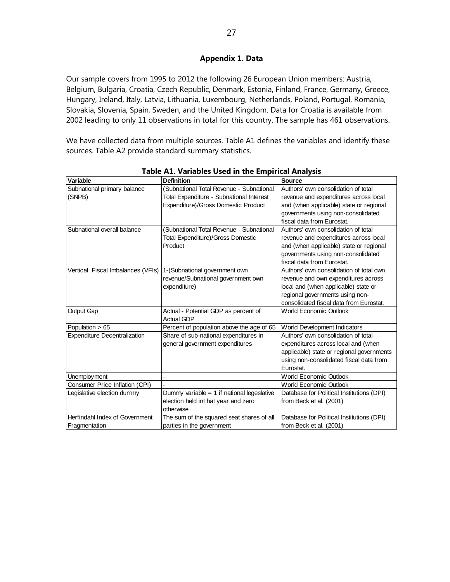#### **Appendix 1. Data**

Our sample covers from 1995 to 2012 the following 26 European Union members: Austria, Belgium, Bulgaria, Croatia, Czech Republic, Denmark, Estonia, Finland, France, Germany, Greece, Hungary, Ireland, Italy, Latvia, Lithuania, Luxembourg, Netherlands, Poland, Portugal, Romania, Slovakia, Slovenia, Spain, Sweden, and the United Kingdom. Data for Croatia is available from 2002 leading to only 11 observations in total for this country. The sample has 461 observations.

We have collected data from multiple sources. Table A1 defines the variables and identify these sources. Table A2 provide standard summary statistics.

| Variable                            | <b>Definition</b>                          | <b>Source</b>                             |
|-------------------------------------|--------------------------------------------|-------------------------------------------|
| Subnational primary balance         | (Subnational Total Revenue - Subnational   | Authors' own consolidation of total       |
| (SNPB)                              | Total Expenditure - Subnational Interest   | revenue and expenditures across local     |
|                                     | Expenditure)/Gross Domestic Product        | and (when applicable) state or regional   |
|                                     |                                            | governments using non-consolidated        |
|                                     |                                            | fiscal data from Eurostat.                |
| Subnational overall balance         | (Subnational Total Revenue - Subnational   | Authors' own consolidation of total       |
|                                     | <b>Total Expenditure)/Gross Domestic</b>   | revenue and expenditures across local     |
|                                     | Product                                    | and (when applicable) state or regional   |
|                                     |                                            | governments using non-consolidated        |
|                                     |                                            | fiscal data from Eurostat.                |
| Vertical Fiscal Imbalances (VFIs)   | 1-(Subnational government own              | Authors' own consolidation of total own   |
|                                     | revenue/Subnational government own         | revenue and own expenditures across       |
|                                     | expenditure)                               | local and (when applicable) state or      |
|                                     |                                            | regional governments using non-           |
|                                     |                                            | consolidated fiscal data from Eurostat.   |
| <b>Output Gap</b>                   | Actual - Potential GDP as percent of       | <b>World Economic Outlook</b>             |
|                                     | <b>Actual GDP</b>                          |                                           |
| Population > 65                     | Percent of population above the age of 65  | World Development Indicators              |
| <b>Expenditure Decentralization</b> | Share of sub-national expenditures in      | Authors' own consolidation of total       |
|                                     | general government expenditures            | expenditures across local and (when       |
|                                     |                                            | applicable) state or regional governments |
|                                     |                                            | using non-consolidated fiscal data from   |
|                                     |                                            | Eurostat.                                 |
| Unemployment                        |                                            | <b>World Economic Outlook</b>             |
| Consumer Price Inflation (CPI)      |                                            | World Economic Outlook                    |
| Legislative election dummy          | Dummy variable = 1 if national legeslative | Database for Political Institutions (DPI) |
|                                     | election held int hat year and zero        | from Beck et al. (2001)                   |
|                                     | otherwise                                  |                                           |
| Herfindahl Index of Government      | The sum of the squared seat shares of all  | Database for Political Institutions (DPI) |
| Fragmentation                       | parties in the government                  | from Beck et al. (2001)                   |

**Table A1. Variables Used in the Empirical Analysis**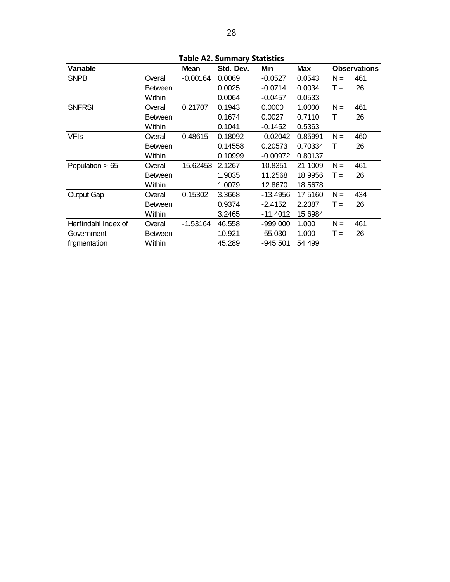| <b>Variable</b>     |                | <b>Mean</b> | Std. Dev. | Min        | <b>Max</b> |       | <b>Observations</b> |
|---------------------|----------------|-------------|-----------|------------|------------|-------|---------------------|
| <b>SNPB</b>         | Overall        | $-0.00164$  | 0.0069    | $-0.0527$  | 0.0543     | $N =$ | 461                 |
|                     | <b>Between</b> |             | 0.0025    | $-0.0714$  | 0.0034     | $T =$ | 26                  |
|                     | Within         |             | 0.0064    | $-0.0457$  | 0.0533     |       |                     |
| <b>SNFRSI</b>       | Overall        | 0.21707     | 0.1943    | 0.0000     | 1.0000     | $N =$ | 461                 |
|                     | <b>Between</b> |             | 0.1674    | 0.0027     | 0.7110     | $T =$ | 26                  |
|                     | Within         |             | 0.1041    | $-0.1452$  | 0.5363     |       |                     |
| <b>VFIs</b>         | Overall        | 0.48615     | 0.18092   | $-0.02042$ | 0.85991    | $N =$ | 460                 |
|                     | <b>Between</b> |             | 0.14558   | 0.20573    | 0.70334    | $T =$ | 26                  |
|                     | Within         |             | 0.10999   | $-0.00972$ | 0.80137    |       |                     |
| Population $> 65$   | Overall        | 15.62453    | 2.1267    | 10.8351    | 21.1009    | $N =$ | 461                 |
|                     | <b>Between</b> |             | 1.9035    | 11.2568    | 18.9956    | $T =$ | 26                  |
|                     | Within         |             | 1.0079    | 12.8670    | 18.5678    |       |                     |
| <b>Output Gap</b>   | Overall        | 0.15302     | 3.3668    | $-13.4956$ | 17.5160    | $N =$ | 434                 |
|                     | <b>Between</b> |             | 0.9374    | $-2.4152$  | 2.2387     | $T =$ | 26                  |
|                     | Within         |             | 3.2465    | $-11.4012$ | 15.6984    |       |                     |
| Herfindahl Index of | Overall        | $-1.53164$  | 46.558    | $-999.000$ | 1.000      | $N =$ | 461                 |
| Government          | <b>Between</b> |             | 10.921    | $-55.030$  | 1.000      | $T =$ | 26                  |
| frgmentation        | Within         |             | 45.289    | -945.501   | 54.499     |       |                     |

**Table A2. Summary Statistics**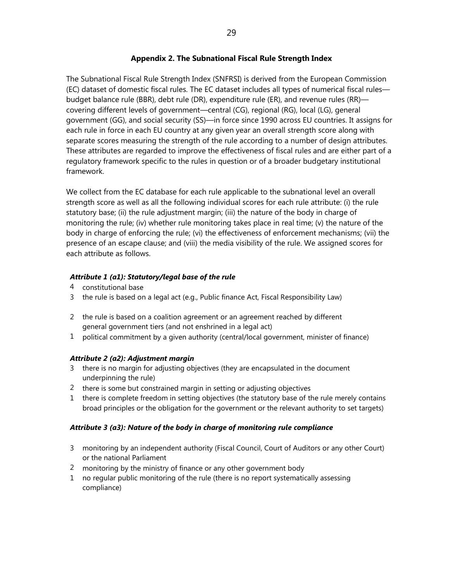#### **Appendix 2. The Subnational Fiscal Rule Strength Index**

The Subnational Fiscal Rule Strength Index (SNFRSI) is derived from the European Commission (EC) dataset of domestic fiscal rules. The EC dataset includes all types of numerical fiscal rules budget balance rule (BBR), debt rule (DR), expenditure rule (ER), and revenue rules (RR) covering different levels of government—central (CG), regional (RG), local (LG), general government (GG), and social security (SS)—in force since 1990 across EU countries. It assigns for each rule in force in each EU country at any given year an overall strength score along with separate scores measuring the strength of the rule according to a number of design attributes. These attributes are regarded to improve the effectiveness of fiscal rules and are either part of a regulatory framework specific to the rules in question or of a broader budgetary institutional framework.

We collect from the EC database for each rule applicable to the subnational level an overall strength score as well as all the following individual scores for each rule attribute: (i) the rule statutory base; (ii) the rule adjustment margin; (iii) the nature of the body in charge of monitoring the rule; (iv) whether rule monitoring takes place in real time; (v) the nature of the body in charge of enforcing the rule; (vi) the effectiveness of enforcement mechanisms; (vii) the presence of an escape clause; and (viii) the media visibility of the rule. We assigned scores for each attribute as follows.

# *Attribute 1 (a1): Statutory/legal base of the rule*

- 4 constitutional base
- 3 the rule is based on a legal act (e.g., Public finance Act, Fiscal Responsibility Law)
- 2 the rule is based on a coalition agreement or an agreement reached by different general government tiers (and not enshrined in a legal act)
- 1 political commitment by a given authority (central/local government, minister of finance)

#### *Attribute 2 (a2): Adjustment margin*

- 3 there is no margin for adjusting objectives (they are encapsulated in the document underpinning the rule)
- 2 there is some but constrained margin in setting or adjusting objectives
- 1 there is complete freedom in setting objectives (the statutory base of the rule merely contains broad principles or the obligation for the government or the relevant authority to set targets)

#### *Attribute 3 (a3): Nature of the body in charge of monitoring rule compliance*

- 3 monitoring by an independent authority (Fiscal Council, Court of Auditors or any other Court) or the national Parliament
- 2 monitoring by the ministry of finance or any other government body
- 1 no regular public monitoring of the rule (there is no report systematically assessing compliance)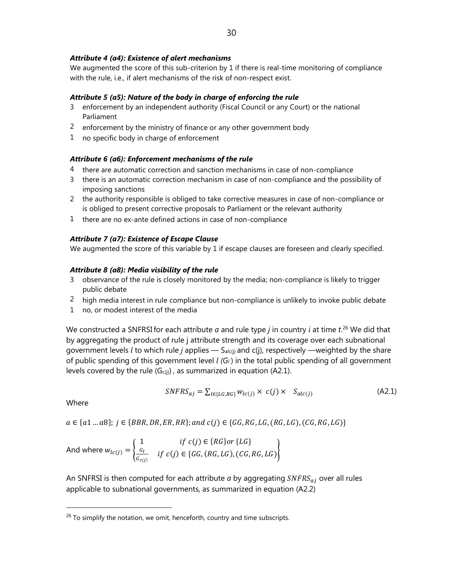#### *Attribute 4 (a4): Existence of alert mechanisms*

We augmented the score of this sub-criterion by 1 if there is real-time monitoring of compliance with the rule, i.e., if alert mechanisms of the risk of non-respect exist.

#### *Attribute 5 (a5): Nature of the body in charge of enforcing the rule*

- 3 enforcement by an independent authority (Fiscal Council or any Court) or the national Parliament
- 2 enforcement by the ministry of finance or any other government body
- 1 no specific body in charge of enforcement

#### *Attribute 6 (a6): Enforcement mechanisms of the rule*

- 4 there are automatic correction and sanction mechanisms in case of non-compliance
- 3 there is an automatic correction mechanism in case of non-compliance and the possibility of imposing sanctions
- 2 the authority responsible is obliged to take corrective measures in case of non-compliance or is obliged to present corrective proposals to Parliament or the relevant authority
- 1 there are no ex-ante defined actions in case of non-compliance

#### *Attribute 7 (a7): Existence of Escape Clause*

We augmented the score of this variable by 1 if escape clauses are foreseen and clearly specified.

#### *Attribute 8 (a8): Media visibility of the rule*

- 3 observance of the rule is closely monitored by the media; non-compliance is likely to trigger public debate
- 2 high media interest in rule compliance but non-compliance is unlikely to invoke public debate
- 1 no, or modest interest of the media

We constructed a SNFRSI for each attribute *a* and rule type *j* in country *i* at time *t*. <sup>26</sup> We did that by aggregating the product of rule j attribute strength and its coverage over each subnational government levels *l* to which rule *j* applies — Salc(j) and c(j), respectively —weighted by the share of public spending of this government level *l (G<sup>l</sup>* ) in the total public spending of all government levels covered by the rule  $(G_{c(j)})$ , as summarized in equation (A2.1).

$$
SNFRS_{aj} = \sum_{l \in \{LG, RG\}} w_{lc(j)} \times c(j) \times S_{alc(j)}
$$
(A2.1)

Where

 $\overline{a}$ 

 $a \in \{a_1 \dots a_8\}; i \in \{BBR, DR, ER, RR\}; and c(j) \in \{GG, RG, LG, LG, LG\}, (CG, RG, LG)$ 

And where 
$$
w_{lc(j)} = \begin{cases} 1 & \text{if } c(j) \in \{RG\} \text{or } \{LG\} \\ \frac{G_l}{G_{c(j)}} & \text{if } c(j) \in \{GG, (RG, LG), (CG, RG, LG)\} \end{cases}
$$

An SNFRSI is then computed for each attribute  $a$  by aggregating  $\textit{SNFRS}_{ai}$  over all rules applicable to subnational governments, as summarized in equation (A2.2)

<sup>&</sup>lt;sup>26</sup> To simplify the notation, we omit, henceforth, country and time subscripts.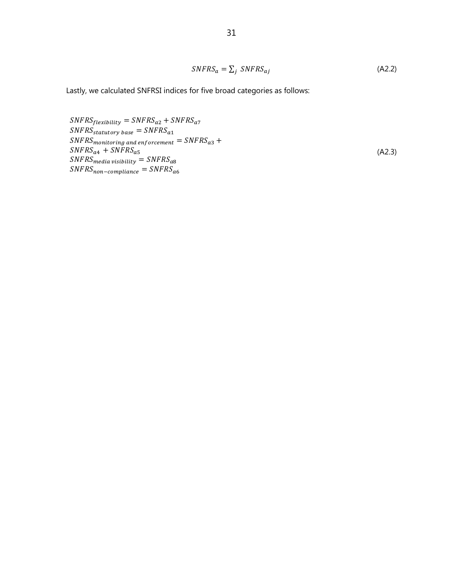$$
SNFRS_a = \sum_j SNFRS_{aj} \tag{A2.2}
$$

Lastly, we calculated SNFRSI indices for five broad categories as follows:

 $SNFRS_{flexibility} = SNFRS_{a2} + SNFRS_{a7}$  $SNFRS_{statutory \, base} = SNFRS_{a1}$  $\mathit{SNFRS}_{monitoring}$  and enforcement  $=\mathit{SNFRS}_{a3}$  +  $SNFRS_{a4} + SNFRS_{a5}$  $SNFRS_{media\; visibility} = SNFRS_{a8}$  $SNFRS_{non-compliance} = SNFRS_{a6}$ 

(A2.3)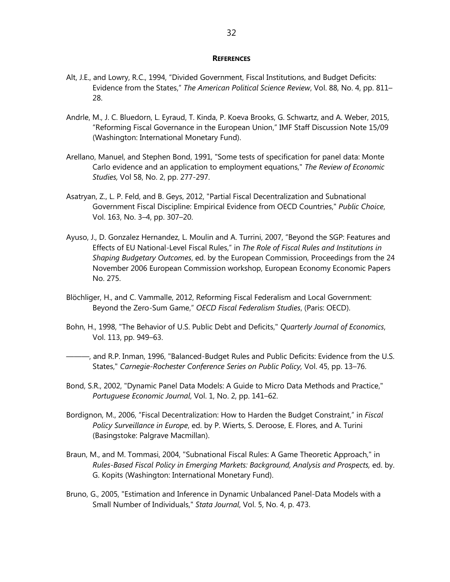#### **REFERENCES**

- <span id="page-33-0"></span>Alt, J.E., and Lowry, R.C., 1994, "Divided Government, Fiscal Institutions, and Budget Deficits: Evidence from the States," *The American Political Science Review*, Vol. 88, No. 4, pp. 811– 28.
- Andrle, M., J. C. Bluedorn, L. Eyraud, T. Kinda, P. Koeva Brooks, G. Schwartz, and A. Weber, 2015, "Reforming Fiscal Governance in the European Union," IMF Staff Discussion Note 15/09 (Washington: International Monetary Fund).
- Arellano, Manuel, and Stephen Bond, 1991, "Some tests of specification for panel data: Monte Carlo evidence and an application to employment equations," *The Review of Economic Studies,* Vol 58, No. 2, pp. 277-297.
- Asatryan, Z., L. P. Feld, and B. Geys, 2012, "Partial Fiscal Decentralization and Subnational Government Fiscal Discipline: Empirical Evidence from OECD Countries," *Public Choice*, Vol. 163, No. 3–4, pp. 307–20.
- Ayuso, J., D. Gonzalez Hernandez, L. Moulin and A. Turrini, 2007, "Beyond the SGP: Features and Effects of EU National-Level Fiscal Rules," in *The Role of Fiscal Rules and Institutions in Shaping Budgetary Outcomes*, ed. by the European Commission, Proceedings from the 24 November 2006 European Commission workshop, European Economy Economic Papers No. 275.
- Blöchliger, H., and C. Vammalle, 2012, Reforming Fiscal Federalism and Local Government: Beyond the Zero-Sum Game," *OECD Fiscal Federalism Studies*, (Paris: OECD).
- Bohn, H., 1998, "The Behavior of U.S. Public Debt and Deficits," *Quarterly Journal of Economics*, Vol. 113, pp. 949–63.
- ———, and R.P. Inman, 1996, "Balanced-Budget Rules and Public Deficits: Evidence from the U.S. States," *Carnegie-Rochester Conference Series on Public Policy,* Vol. 45, pp. 13–76.
- Bond, S.R., 2002, "Dynamic Panel Data Models: A Guide to Micro Data Methods and Practice," *Portuguese Economic Journal*, Vol. 1, No. 2, pp. 141–62.
- Bordignon, M., 2006, "Fiscal Decentralization: How to Harden the Budget Constraint," in *Fiscal Policy Surveillance in Europe*, ed. by P. Wierts, S. Deroose, E. Flores, and A. Turini (Basingstoke: Palgrave Macmillan).
- Braun, M., and M. Tommasi, 2004, "Subnational Fiscal Rules: A Game Theoretic Approach," in *Rules-Based Fiscal Policy in Emerging Markets: Background, Analysis and Prospects,* ed. by. G. Kopits (Washington: International Monetary Fund).
- Bruno, G., 2005, "Estimation and Inference in Dynamic Unbalanced Panel-Data Models with a Small Number of Individuals," *Stata Journal*, Vol. 5, No. 4, p. 473.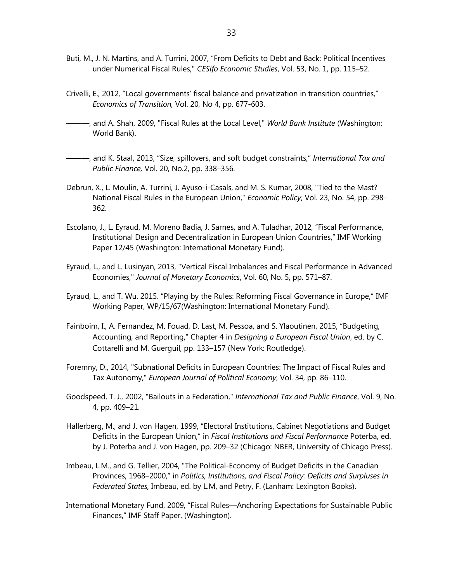- Buti, M., J. N. Martins, and A. Turrini, 2007, "From Deficits to Debt and Back: Political Incentives under Numerical Fiscal Rules," *CESifo Economic Studies*, Vol. 53, No. 1, pp. 115–52.
- Crivelli, E., 2012, "Local governments' fiscal balance and privatization in transition countries," *Economics of Transition,* Vol. 20, No 4, pp. 677-603.
- ———, and A. Shah, 2009, "Fiscal Rules at the Local Level," *World Bank Institute* (Washington: World Bank).
- ———, and K. Staal, 2013, "Size, spillovers, and soft budget constraints," *International Tax and Public Finance,* Vol. 20, No.2, pp. 338–356.
- Debrun, X., L. Moulin, A. Turrini, J. Ayuso-i-Casals, and M. S. Kumar, 2008, "Tied to the Mast? National Fiscal Rules in the European Union," *Economic Policy*, Vol. 23, No. 54, pp. 298– 362.
- Escolano, J., L. Eyraud, M. Moreno Badia, J. Sarnes, and A. Tuladhar, 2012, "Fiscal Performance, Institutional Design and Decentralization in European Union Countries," IMF Working Paper 12/45 (Washington: International Monetary Fund).
- Eyraud, L., and L. Lusinyan, 2013, "Vertical Fiscal Imbalances and Fiscal Performance in Advanced Economies," *Journal of Monetary Economics*, Vol. 60, No. 5, pp. 571–87.
- Eyraud, L., and T. Wu. 2015. "Playing by the Rules: Reforming Fiscal Governance in Europe," IMF Working Paper, WP/15/67(Washington: International Monetary Fund).
- Fainboim, I., A. Fernandez, M. Fouad, D. Last, M. Pessoa, and S. Ylaoutinen, 2015, "Budgeting, Accounting, and Reporting," Chapter 4 in *Designing a European Fiscal Union*, ed. by C. Cottarelli and M. Guerguil, pp. 133–157 (New York: Routledge).
- Foremny, D., 2014, "Subnational Deficits in European Countries: The Impact of Fiscal Rules and Tax Autonomy," *European Journal of Political Economy*, Vol. 34, pp. 86–110.
- Goodspeed, T. J., 2002, "Bailouts in a Federation," *International Tax and Public Finance*, Vol. 9, No. 4, pp. 409–21.
- Hallerberg, M., and J. von Hagen, 1999, "Electoral Institutions, Cabinet Negotiations and Budget Deficits in the European Union," in *Fiscal Institutions and Fiscal Performance* Poterba, ed. by J. Poterba and J. von Hagen, pp. 209–32 (Chicago: NBER, University of Chicago Press).
- Imbeau, L.M., and G. Tellier, 2004, "The Political-Economy of Budget Deficits in the Canadian Provinces, 1968–2000," in *Politics, Institutions, and Fiscal Policy: Deficits and Surpluses in Federated States,* Imbeau, ed. by L.M, and Petry, F. (Lanham: Lexington Books).
- International Monetary Fund, 2009, "Fiscal Rules—Anchoring Expectations for Sustainable Public Finances," IMF Staff Paper, (Washington).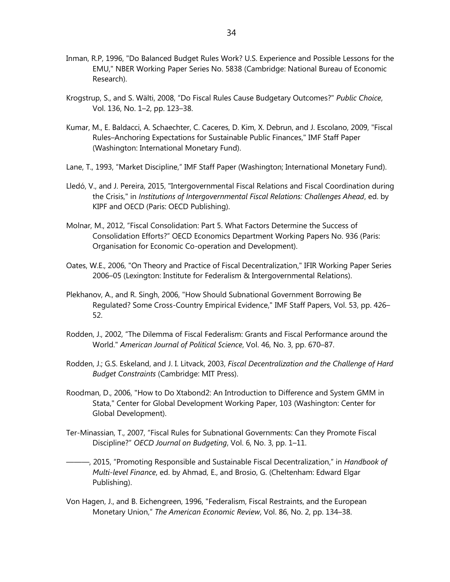- Inman, R.P, 1996, "Do Balanced Budget Rules Work? U.S. Experience and Possible Lessons for the EMU," NBER Working Paper Series No. 5838 (Cambridge: National Bureau of Economic Research).
- Krogstrup, S., and S. Wälti, 2008, "Do Fiscal Rules Cause Budgetary Outcomes?" *Public Choice*, Vol. 136, No. 1–2, pp. 123–38.
- Kumar, M., E. Baldacci, A. Schaechter, C. Caceres, D. Kim, X. Debrun, and J. Escolano, 2009, "Fiscal Rules–Anchoring Expectations for Sustainable Public Finances," IMF Staff Paper (Washington: International Monetary Fund).
- Lane, T., 1993, "Market Discipline," IMF Staff Paper (Washington; International Monetary Fund).
- Lledó, V., and J. Pereira, 2015, "Intergovernmental Fiscal Relations and Fiscal Coordination during the Crisis," in *Institutions of Intergovernmental Fiscal Relations: Challenges Ahead*, ed. by KIPF and OECD (Paris: OECD Publishing).
- Molnar, M., 2012, "Fiscal Consolidation: Part 5. What Factors Determine the Success of Consolidation Efforts?" OECD Economics Department Working Papers No. 936 (Paris: Organisation for Economic Co-operation and Development).
- Oates, W.E., 2006, "On Theory and Practice of Fiscal Decentralization," IFIR Working Paper Series 2006–05 (Lexington: Institute for Federalism & Intergovernmental Relations).
- Plekhanov, A., and R. Singh, 2006, "How Should Subnational Government Borrowing Be Regulated? Some Cross-Country Empirical Evidence," IMF Staff Papers, Vol. 53, pp. 426– 52.
- Rodden, J., 2002, "The Dilemma of Fiscal Federalism: Grants and Fiscal Performance around the World." *American Journal of Political Science*, Vol. 46, No. 3, pp. 670–87.
- Rodden, J.; G.S. Eskeland, and J. I. Litvack, 2003, *Fiscal Decentralization and the Challenge of Hard Budget Constraints* (Cambridge: MIT Press).
- Roodman, D., 2006, "How to Do Xtabond2: An Introduction to Difference and System GMM in Stata," Center for Global Development Working Paper, 103 (Washington: Center for Global Development).
- Ter-Minassian, T., 2007, "Fiscal Rules for Subnational Governments: Can they Promote Fiscal Discipline?" *OECD Journal on Budgeting*, Vol. 6, No. 3, pp. 1–11.
- ———, 2015, "Promoting Responsible and Sustainable Fiscal Decentralization," in *Handbook of Multi-level Finance*, ed. by Ahmad, E., and Brosio, G. (Cheltenham: Edward Elgar Publishing).
- Von Hagen, J., and B. Eichengreen, 1996, "Federalism, Fiscal Restraints, and the European Monetary Union," *The American Economic Review*, Vol. 86, No. 2, pp. 134–38.